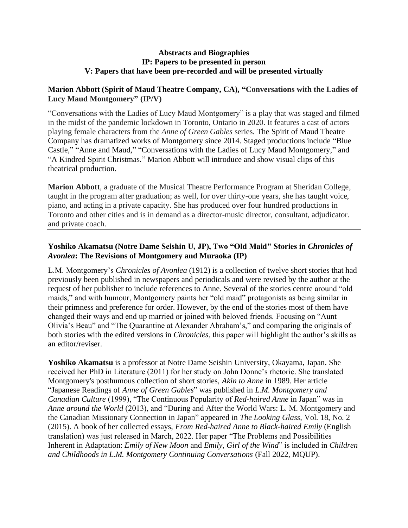#### **Abstracts and Biographies IP: Papers to be presented in person V: Papers that have been pre-recorded and will be presented virtually**

## **Marion Abbott (Spirit of Maud Theatre Company, CA), "Conversations with the Ladies of Lucy Maud Montgomery" (IP/V)**

"Conversations with the Ladies of Lucy Maud Montgomery" is a play that was staged and filmed in the midst of the pandemic lockdown in Toronto, Ontario in 2020. It features a cast of actors playing female characters from the *Anne of Green Gables* series. The Spirit of Maud Theatre Company has dramatized works of Montgomery since 2014. Staged productions include "Blue Castle," "Anne and Maud," "Conversations with the Ladies of Lucy Maud Montgomery," and "A Kindred Spirit Christmas." Marion Abbott will introduce and show visual clips of this theatrical production.

**Marion Abbott**, a graduate of the Musical Theatre Performance Program at Sheridan College, taught in the program after graduation; as well, for over thirty-one years, she has taught voice, piano, and acting in a private capacity. She has produced over four hundred productions in Toronto and other cities and is in demand as a director-music director, consultant, adjudicator. and private coach.

## Yoshiko Akamatsu (Notre Dame Seishin U, JP), Two "Old Maid" Stories in *Chronicles of Avonlea***: The Revisions of Montgomery and Muraoka (IP)**

L.M. Montgomery's *Chronicles of Avonlea* (1912) is a collection of twelve short stories that had previously been published in newspapers and periodicals and were revised by the author at the request of her publisher to include references to Anne. Several of the stories centre around "old maids," and with humour, Montgomery paints her "old maid" protagonists as being similar in their primness and preference for order. However, by the end of the stories most of them have changed their ways and end up married or joined with beloved friends. Focusing on "Aunt Olivia's Beau" and "The Quarantine at Alexander Abraham's," and comparing the originals of both stories with the edited versions in *Chronicles*, this paper will highlight the author's skills as an editor/reviser.

**Yoshiko Akamatsu** is a professor at Notre Dame Seishin University, Okayama, Japan. She received her PhD in Literature (2011) for her study on John Donne's rhetoric. She translated Montgomery's posthumous collection of short stories, *Akin to Anne* in 1989. Her article "Japanese Readings of *Anne of Green Gables*" was published in *L.M. Montgomery and Canadian Culture* (1999), "The Continuous Popularity of *Red-haired Anne* in Japan" was in *Anne around the World* (2013), and "During and After the World Wars: L. M. Montgomery and the Canadian Missionary Connection in Japan" appeared in *The Looking Glass,* Vol. 18, No. 2 (2015). A book of her collected essays, *From Red-haired Anne to Black-haired Emily* (English translation) was just released in March, 2022. Her paper "The Problems and Possibilities Inherent in Adaptation: *Emily of New Moon* and *Emily, Girl of the Wind*" is included in *Children and Childhoods in L.M. Montgomery Continuing Conversations* (Fall 2022, MQUP).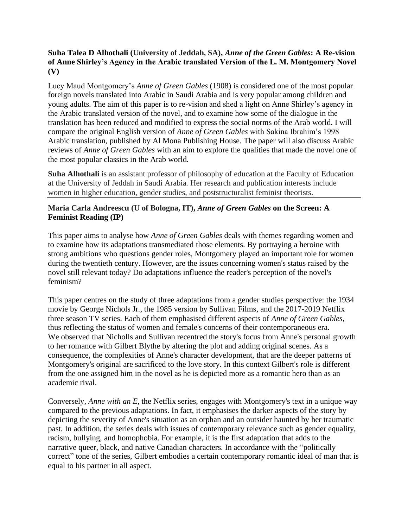## **Suha Talea D Alhothali (University of Jeddah, SA),** *Anne of the Green Gables***: A Re-vision of Anne Shirley's Agency in the Arabic translated Version of the L. M. Montgomery Novel (V)**

Lucy Maud Montgomery's *Anne of Green Gables* (1908) is considered one of the most popular foreign novels translated into Arabic in Saudi Arabia and is very popular among children and young adults. The aim of this paper is to re-vision and shed a light on Anne Shirley's agency in the Arabic translated version of the novel, and to examine how some of the dialogue in the translation has been reduced and modified to express the social norms of the Arab world. I will compare the original English version of *Anne of Green Gables* with Sakina Ibrahim's 1998 Arabic translation, published by Al Mona Publishing House. The paper will also discuss Arabic reviews of *Anne of Green Gables* with an aim to explore the qualities that made the novel one of the most popular classics in the Arab world.

**Suha Alhothali** is an assistant professor of philosophy of education at the Faculty of Education at the University of Jeddah in Saudi Arabia. Her research and publication interests include women in higher education, gender studies, and poststructuralist feminist theorists.

## **Maria Carla Andreescu (U of Bologna, IT),** *Anne of Green Gables* **on the Screen: A Feminist Reading (IP)**

This paper aims to analyse how *Anne of Green Gables* deals with themes regarding women and to examine how its adaptations transmediated those elements. By portraying a heroine with strong ambitions who questions gender roles, Montgomery played an important role for women during the twentieth century. However, are the issues concerning women's status raised by the novel still relevant today? Do adaptations influence the reader's perception of the novel's feminism?

This paper centres on the study of three adaptations from a gender studies perspective: the 1934 movie by George Nichols Jr., the 1985 version by Sullivan Films, and the 2017-2019 Netflix three season TV series. Each of them emphasised different aspects of *Anne of Green Gables*, thus reflecting the status of women and female's concerns of their contemporaneous era. We observed that Nicholls and Sullivan recentred the story's focus from Anne's personal growth to her romance with Gilbert Blythe by altering the plot and adding original scenes. As a consequence, the complexities of Anne's character development, that are the deeper patterns of Montgomery's original are sacrificed to the love story. In this context Gilbert's role is different from the one assigned him in the novel as he is depicted more as a romantic hero than as an academic rival.

Conversely, *Anne with an E*, the Netflix series, engages with Montgomery's text in a unique way compared to the previous adaptations. In fact, it emphasises the darker aspects of the story by depicting the severity of Anne's situation as an orphan and an outsider haunted by her traumatic past. In addition, the series deals with issues of contemporary relevance such as gender equality, racism, bullying, and homophobia. For example, it is the first adaptation that adds to the narrative queer, black, and native Canadian characters. In accordance with the "politically correct" tone of the series, Gilbert embodies a certain contemporary romantic ideal of man that is equal to his partner in all aspect.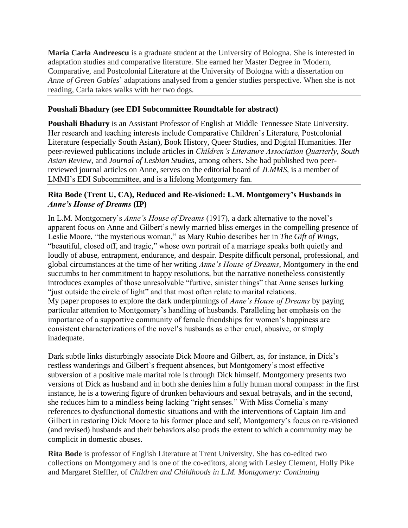**Maria Carla Andreescu** is a graduate student at the University of Bologna. She is interested in adaptation studies and comparative literature. She earned her Master Degree in 'Modern, Comparative, and Postcolonial Literature at the University of Bologna with a dissertation on *Anne of Green Gables*' adaptations analysed from a gender studies perspective. When she is not reading, Carla takes walks with her two dogs.

## **Poushali Bhadury (see EDI Subcommittee Roundtable for abstract)**

**Poushali Bhadury** is an Assistant Professor of English at Middle Tennessee State University. Her research and teaching interests include Comparative Children's Literature, Postcolonial Literature (especially South Asian), Book History, Queer Studies, and Digital Humanities. Her peer-reviewed publications include articles in *Children's Literature Association Quarterly*, *South Asian Review*, and *Journal of Lesbian Studies*, among others. She had published two peerreviewed journal articles on Anne, serves on the editorial board of *JLMMS*, is a member of LMMI's EDI Subcommittee, and is a lifelong Montgomery fan.

## **Rita Bode (Trent U, CA), Reduced and Re-visioned: L.M. Montgomery's Husbands in**  *Anne's House of Dreams* **(IP)**

In L.M. Montgomery's *Anne's House of Dreams* (1917), a dark alternative to the novel's apparent focus on Anne and Gilbert's newly married bliss emerges in the compelling presence of Leslie Moore, "the mysterious woman," as Mary Rubio describes her in *The Gift of Wings*, "beautiful, closed off, and tragic," whose own portrait of a marriage speaks both quietly and loudly of abuse, entrapment, endurance, and despair. Despite difficult personal, professional, and global circumstances at the time of her writing *Anne's House of Dreams*, Montgomery in the end succumbs to her commitment to happy resolutions, but the narrative nonetheless consistently introduces examples of those unresolvable "furtive, sinister things" that Anne senses lurking "just outside the circle of light" and that most often relate to marital relations. My paper proposes to explore the dark underpinnings of *Anne's House of Dreams* by paying particular attention to Montgomery's handling of husbands. Paralleling her emphasis on the importance of a supportive community of female friendships for women's happiness are consistent characterizations of the novel's husbands as either cruel, abusive, or simply inadequate.

Dark subtle links disturbingly associate Dick Moore and Gilbert, as, for instance, in Dick's restless wanderings and Gilbert's frequent absences, but Montgomery's most effective subversion of a positive male marital role is through Dick himself. Montgomery presents two versions of Dick as husband and in both she denies him a fully human moral compass: in the first instance, he is a towering figure of drunken behaviours and sexual betrayals, and in the second, she reduces him to a mindless being lacking "right senses." With Miss Cornelia's many references to dysfunctional domestic situations and with the interventions of Captain Jim and Gilbert in restoring Dick Moore to his former place and self, Montgomery's focus on re-visioned (and revised) husbands and their behaviors also prods the extent to which a community may be complicit in domestic abuses.

**Rita Bode** is professor of English Literature at Trent University. She has co-edited two collections on Montgomery and is one of the co-editors, along with Lesley Clement, Holly Pike and Margaret Steffler, of *Children and Childhoods in L.M. Montgomery: Continuing*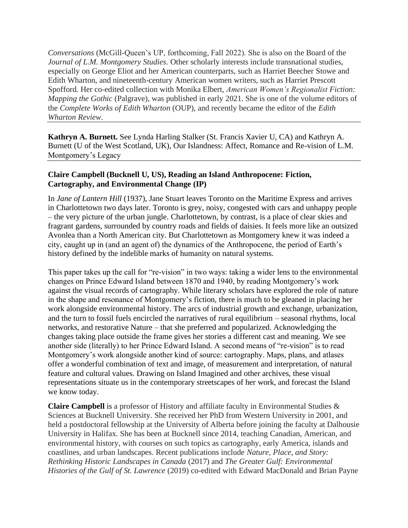*Conversations* (McGill-Queen's UP, forthcoming, Fall 2022). She is also on the Board of the *Journal of L.M. Montgomery Studies*. Other scholarly interests include transnational studies, especially on George Eliot and her American counterparts, such as Harriet Beecher Stowe and Edith Wharton, and nineteenth-century American women writers, such as Harriet Prescott Spofford. Her co-edited collection with Monika Elbert, *American Women's Regionalist Fiction: Mapping the Gothic* (Palgrave), was published in early 2021. She is one of the volume editors of the *Complete Works of Edith Wharton* (OUP), and recently became the editor of the *Edith Wharton Review*.

**Kathryn A. Burnett.** See Lynda Harling Stalker (St. Francis Xavier U, CA) and Kathryn A. Burnett (U of the West Scotland, UK), Our Islandness: Affect, Romance and Re-vision of L.M. Montgomery's Legacy

## **Claire Campbell (Bucknell U, US), Reading an Island Anthropocene: Fiction, Cartography, and Environmental Change (IP)**

In *Jane of Lantern Hill* (1937), Jane Stuart leaves Toronto on the Maritime Express and arrives in Charlottetown two days later. Toronto is grey, noisy, congested with cars and unhappy people – the very picture of the urban jungle. Charlottetown, by contrast, is a place of clear skies and fragrant gardens, surrounded by country roads and fields of daisies. It feels more like an outsized Avonlea than a North American city. But Charlottetown as Montgomery knew it was indeed a city, caught up in (and an agent of) the dynamics of the Anthropocene, the period of Earth's history defined by the indelible marks of humanity on natural systems.

This paper takes up the call for "re-vision" in two ways: taking a wider lens to the environmental changes on Prince Edward Island between 1870 and 1940, by reading Montgomery's work against the visual records of cartography. While literary scholars have explored the role of nature in the shape and resonance of Montgomery's fiction, there is much to be gleaned in placing her work alongside environmental history. The arcs of industrial growth and exchange, urbanization, and the turn to fossil fuels encircled the narratives of rural equilibrium – seasonal rhythms, local networks, and restorative Nature – that she preferred and popularized. Acknowledging the changes taking place outside the frame gives her stories a different cast and meaning. We see another side (literally) to her Prince Edward Island. A second means of "re-vision" is to read Montgomery's work alongside another kind of source: cartography. Maps, plans, and atlases offer a wonderful combination of text and image, of measurement and interpretation, of natural feature and cultural values. Drawing on Island Imagined and other archives, these visual representations situate us in the contemporary streetscapes of her work, and forecast the Island we know today.

**Claire Campbell** is a professor of History and affiliate faculty in Environmental Studies & Sciences at Bucknell University. She received her PhD from Western University in 2001, and held a postdoctoral fellowship at the University of Alberta before joining the faculty at Dalhousie University in Halifax. She has been at Bucknell since 2014, teaching Canadian, American, and environmental history, with courses on such topics as cartography, early America, islands and coastlines, and urban landscapes. Recent publications include *Nature, Place, and Story: Rethinking Historic Landscapes in Canada* (2017) and *The Greater Gulf: Environmental Histories of the Gulf of St. Lawrence* (2019) co-edited with Edward MacDonald and Brian Payne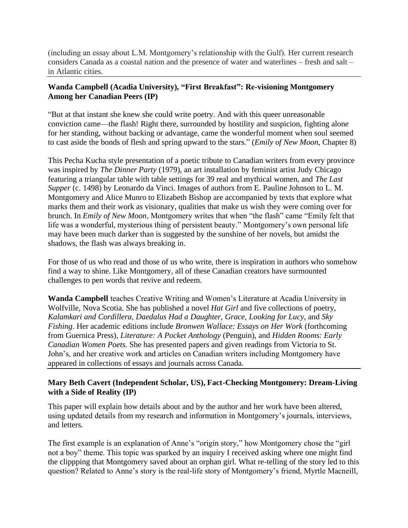(including an essay about L.M. Montgomery's relationship with the Gulf). Her current research considers Canada as a coastal nation and the presence of water and waterlines – fresh and salt – in Atlantic cities.

## **Wanda Campbell (Acadia University), "First Breakfast": Re-visioning Montgomery Among her Canadian Peers (IP)**

"But at that instant she knew she could write poetry. And with this queer unreasonable conviction came—the flash! Right there, surrounded by hostility and suspicion, fighting alone for her standing, without backing or advantage, came the wonderful moment when soul seemed to cast aside the bonds of flesh and spring upward to the stars." (*Emily of New Moon*, Chapter 8)

This Pecha Kucha style presentation of a poetic tribute to Canadian writers from every province was inspired by *The Dinner Party* (1979), an art installation by feminist artist Judy Chicago featuring a triangular table with table settings for 39 real and mythical women, and *The Last Supper* (c. 1498) by Leonardo da Vinci. Images of authors from E. Pauline Johnson to L. M. Montgomery and Alice Munro to Elizabeth Bishop are accompanied by texts that explore what marks them and their work as visionary, qualities that make us wish they were coming over for brunch. In *Emily of New Moon*, Montgomery writes that when "the flash" came "Emily felt that life was a wonderful, mysterious thing of persistent beauty." Montgomery's own personal life may have been much darker than is suggested by the sunshine of her novels, but amidst the shadows, the flash was always breaking in.

For those of us who read and those of us who write, there is inspiration in authors who somehow find a way to shine. Like Montgomery, all of these Canadian creators have surmounted challenges to pen words that revive and redeem.

**Wanda Campbell** teaches Creative Writing and Women's Literature at Acadia University in Wolfville, Nova Scotia. She has published a novel *Hat Girl* and five collections of poetry, *Kalamkari and Cordillera*, *Daedalus Had a Daughter*, *Grace*, *Looking for Lucy*, and *Sky Fishing*. Her academic editions include *Bronwen Wallace: Essays on Her Work* (forthcoming from Guernica Press), *Literature: A Pocket Anthology* (Penguin), and *Hidden Rooms: Early Canadian Women Poets*. She has presented papers and given readings from Victoria to St. John's, and her creative work and articles on Canadian writers including Montgomery have appeared in collections of essays and journals across Canada.

## **Mary Beth Cavert (Independent Scholar, US), Fact-Checking Montgomery: Dream-Living with a Side of Reality (IP)**

This paper will explain how details about and by the author and her work have been altered, using updated details from my research and information in Montgomery's journals, interviews, and letters.

The first example is an explanation of Anne's "origin story," how Montgomery chose the "girl not a boy" theme. This topic was sparked by an inquiry I received asking where one might find the clippping that Montgomery saved about an orphan girl. What re-telling of the story led to this question? Related to Anne's story is the real-life story of Montgomery's friend, Myrtle Macneill,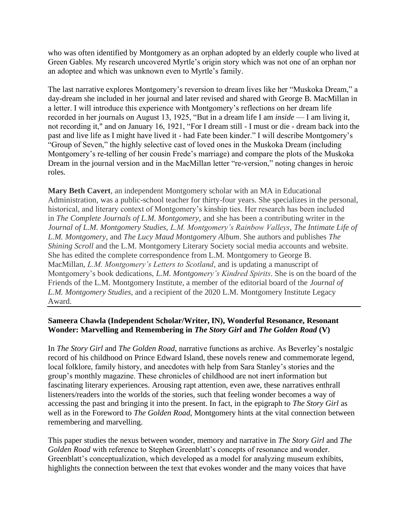who was often identified by Montgomery as an orphan adopted by an elderly couple who lived at Green Gables. My research uncovered Myrtle's origin story which was not one of an orphan nor an adoptee and which was unknown even to Myrtle's family.

The last narrative explores Montgomery's reversion to dream lives like her "Muskoka Dream," a day-dream she included in her journal and later revised and shared with George B. MacMillan in a letter. I will introduce this experience with Montgomery's reflections on her dream life recorded in her journals on August 13, 1925, "But in a dream life I am *inside* — I am living it, not recording it," and on January 16, 1921, "For I dream still - I must or die - dream back into the past and live life as I might have lived it - had Fate been kinder." I will describe Montgomery's "Group of Seven," the highly selective cast of loved ones in the Muskoka Dream (including Montgomery's re-telling of her cousin Frede's marriage) and compare the plots of the Muskoka Dream in the journal version and in the MacMillan letter "re-version," noting changes in heroic roles.

**Mary Beth Cavert**, an independent Montgomery scholar with an MA in Educational Administration, was a public-school teacher for thirty-four years. She specializes in the personal, historical, and literary context of Montgomery's kinship ties. Her research has been included in *The Complete Journals of L.M. Montgomery*, and she has been a contributing writer in the *Journal of L.M. Montgomery Studies*, *L.M. Montgomery's Rainbow Valleys*, *The Intimate Life of L.M. Montgomery*, and *The Lucy Maud Montgomery Album*. She authors and publishes *The Shining Scroll* and the L.M. Montgomery Literary Society social media accounts and website. She has edited the complete correspondence from L.M. Montgomery to George B. MacMillan, *L.M. Montgomery's Letters to Scotland*, and is updating a manuscript of Montgomery's book dedications, *L.M. Montgomery's Kindred Spirits*. She is on the board of the Friends of the L.M. Montgomery Institute, a member of the editorial board of the *Journal of L.M. Montgomery Studies*, and a recipient of the 2020 L.M. Montgomery Institute Legacy Award.

## **Sameera Chawla (Independent Scholar/Writer, IN), Wonderful Resonance, Resonant Wonder: Marvelling and Remembering in** *The Story Girl* **and** *The Golden Road* **(V)**

In *The Story Girl* and *The Golden Road*, narrative functions as archive. As Beverley's nostalgic record of his childhood on Prince Edward Island, these novels renew and commemorate legend, local folklore, family history, and anecdotes with help from Sara Stanley's stories and the group's monthly magazine. These chronicles of childhood are not inert information but fascinating literary experiences. Arousing rapt attention, even awe, these narratives enthrall listeners/readers into the worlds of the stories, such that feeling wonder becomes a way of accessing the past and bringing it into the present. In fact, in the epigraph to *The Story Girl* as well as in the Foreword to *The Golden Road*, Montgomery hints at the vital connection between remembering and marvelling.

This paper studies the nexus between wonder, memory and narrative in *The Story Girl* and *The Golden Road* with reference to Stephen Greenblatt's concepts of resonance and wonder. Greenblatt's conceptualization, which developed as a model for analyzing museum exhibits, highlights the connection between the text that evokes wonder and the many voices that have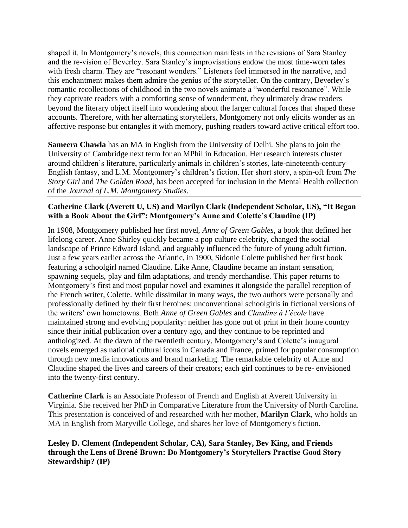shaped it. In Montgomery's novels, this connection manifests in the revisions of Sara Stanley and the re-vision of Beverley. Sara Stanley's improvisations endow the most time-worn tales with fresh charm. They are "resonant wonders." Listeners feel immersed in the narrative, and this enchantment makes them admire the genius of the storyteller. On the contrary, Beverley's romantic recollections of childhood in the two novels animate a "wonderful resonance". While they captivate readers with a comforting sense of wonderment, they ultimately draw readers beyond the literary object itself into wondering about the larger cultural forces that shaped these accounts. Therefore, with her alternating storytellers, Montgomery not only elicits wonder as an affective response but entangles it with memory, pushing readers toward active critical effort too.

**Sameera Chawla** has an MA in English from the University of Delhi. She plans to join the University of Cambridge next term for an MPhil in Education. Her research interests cluster around children's literature, particularly animals in children's stories, late-nineteenth-century English fantasy, and L.M. Montgomery's children's fiction. Her short story, a spin-off from *The Story Girl* and *The Golden Road*, has been accepted for inclusion in the Mental Health collection of the *Journal of L.M. Montgomery Studies*.

## **Catherine Clark (Averett U, US) and Marilyn Clark (Independent Scholar, US), "It Began with a Book About the Girl": Montgomery's Anne and Colette's Claudine (IP)**

In 1908, Montgomery published her first novel, *Anne of Green Gables*, a book that defined her lifelong career. Anne Shirley quickly became a pop culture celebrity, changed the social landscape of Prince Edward Island, and arguably influenced the future of young adult fiction. Just a few years earlier across the Atlantic, in 1900, Sidonie Colette published her first book featuring a schoolgirl named Claudine. Like Anne, Claudine became an instant sensation, spawning sequels, play and film adaptations, and trendy merchandise. This paper returns to Montgomery's first and most popular novel and examines it alongside the parallel reception of the French writer, Colette. While dissimilar in many ways, the two authors were personally and professionally defined by their first heroines: unconventional schoolgirls in fictional versions of the writers' own hometowns. Both *Anne of Green Gables* and *Claudine à l'école* have maintained strong and evolving popularity: neither has gone out of print in their home country since their initial publication over a century ago, and they continue to be reprinted and anthologized. At the dawn of the twentieth century, Montgomery's and Colette's inaugural novels emerged as national cultural icons in Canada and France, primed for popular consumption through new media innovations and brand marketing. The remarkable celebrity of Anne and Claudine shaped the lives and careers of their creators; each girl continues to be re- envisioned into the twenty-first century.

**Catherine Clark** is an Associate Professor of French and English at Averett University in Virginia. She received her PhD in Comparative Literature from the University of North Carolina. This presentation is conceived of and researched with her mother, **Marilyn Clark**, who holds an MA in English from Maryville College, and shares her love of Montgomery's fiction.

**Lesley D. Clement (Independent Scholar, CA), Sara Stanley, Bev King, and Friends through the Lens of Brené Brown: Do Montgomery's Storytellers Practise Good Story Stewardship? (IP)**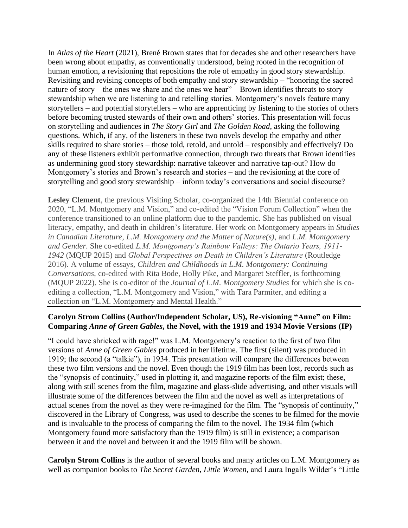In *Atlas of the Heart* (2021), Brené Brown states that for decades she and other researchers have been wrong about empathy, as conventionally understood, being rooted in the recognition of human emotion, a revisioning that repositions the role of empathy in good story stewardship. Revisiting and revising concepts of both empathy and story stewardship – "honoring the sacred nature of story – the ones we share and the ones we hear" – Brown identifies threats to story stewardship when we are listening to and retelling stories. Montgomery's novels feature many storytellers – and potential storytellers – who are apprenticing by listening to the stories of others before becoming trusted stewards of their own and others' stories. This presentation will focus on storytelling and audiences in *The Story Girl* and *The Golden Road*, asking the following questions. Which, if any, of the listeners in these two novels develop the empathy and other skills required to share stories – those told, retold, and untold – responsibly and effectively? Do any of these listeners exhibit performative connection, through two threats that Brown identifies as undermining good story stewardship: narrative takeover and narrative tap-out? How do Montgomery's stories and Brown's research and stories – and the revisioning at the core of storytelling and good story stewardship – inform today's conversations and social discourse?

**Lesley Clement**, the previous Visiting Scholar, co-organized the 14th Biennial conference on 2020, "L.M. Montgomery and Vision," and co-edited the "Vision Forum Collection" when the conference transitioned to an online platform due to the pandemic. She has published on visual literacy, empathy, and death in children's literature. Her work on Montgomery appears in *Studies in Canadian Literature*, *L.M. Montgomery and the Matter of Nature(s)*, and *L.M. Montgomery and Gender*. She co-edited *L.M. Montgomery's Rainbow Valleys: The Ontario Years, 1911- 1942* (MQUP 2015) and *Global Perspectives on Death in Children's Literature* (Routledge 2016). A volume of essays, *Children and Childhoods in L.M. Montgomery: Continuing Conversations*, co-edited with Rita Bode, Holly Pike, and Margaret Steffler, is forthcoming (MQUP 2022). She is co-editor of the *Journal of L.M. Montgomery Studies* for which she is coediting a collection, "L.M. Montgomery and Vision," with Tara Parmiter, and editing a collection on "L.M. Montgomery and Mental Health."

## **Carolyn Strom Collins (Author/Independent Scholar, US), Re-visioning "Anne" on Film: Comparing** *Anne of Green Gables***, the Novel, with the 1919 and 1934 Movie Versions (IP)**

"I could have shrieked with rage!" was L.M. Montgomery's reaction to the first of two film versions of *Anne of Green Gables* produced in her lifetime. The first (silent) was produced in 1919; the second (a "talkie"), in 1934. This presentation will compare the differences between these two film versions and the novel. Even though the 1919 film has been lost, records such as the "synopsis of continuity," used in plotting it, and magazine reports of the film exist; these, along with still scenes from the film, magazine and glass-slide advertising, and other visuals will illustrate some of the differences between the film and the novel as well as interpretations of actual scenes from the novel as they were re-imagined for the film. The "synopsis of continuity," discovered in the Library of Congress, was used to describe the scenes to be filmed for the movie and is invaluable to the process of comparing the film to the novel. The 1934 film (which Montgomery found more satisfactory than the 1919 film) is still in existence; a comparison between it and the novel and between it and the 1919 film will be shown.

C**arolyn Strom Collins** is the author of several books and many articles on L.M. Montgomery as well as companion books to *The Secret Garden, Little Women,* and Laura Ingalls Wilder's "Little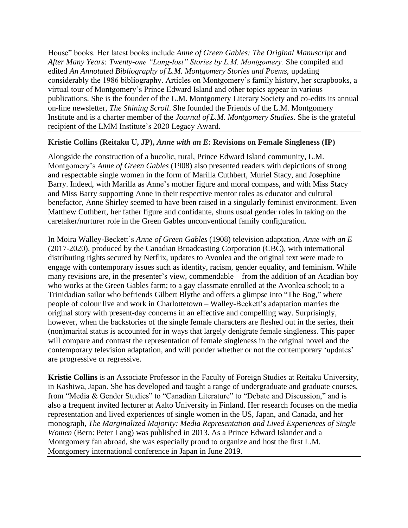House" books. Her latest books include *Anne of Green Gables: The Original Manuscript* and After Many Years: Twenty-one "Long-lost" Stories by L.M. Montgomery. She compiled and edited *An Annotated Bibliography of L.M. Montgomery Stories and Poems,* updating considerably the 1986 bibliography. Articles on Montgomery's family history, her scrapbooks, a virtual tour of Montgomery's Prince Edward Island and other topics appear in various publications. She is the founder of the L.M. Montgomery Literary Society and co-edits its annual on-line newsletter, *The Shining Scroll*. She founded the Friends of the L.M. Montgomery Institute and is a charter member of the *Journal of L.M. Montgomery Studies*. She is the grateful recipient of the LMM Institute's 2020 Legacy Award.

# **Kristie Collins (Reitaku U, JP),** *Anne with an E***: Revisions on Female Singleness (IP)**

Alongside the construction of a bucolic, rural, Prince Edward Island community, L.M. Montgomery's *Anne of Green Gables* (1908) also presented readers with depictions of strong and respectable single women in the form of Marilla Cuthbert, Muriel Stacy, and Josephine Barry. Indeed, with Marilla as Anne's mother figure and moral compass, and with Miss Stacy and Miss Barry supporting Anne in their respective mentor roles as educator and cultural benefactor, Anne Shirley seemed to have been raised in a singularly feminist environment. Even Matthew Cuthbert, her father figure and confidante, shuns usual gender roles in taking on the caretaker/nurturer role in the Green Gables unconventional family configuration.

In Moira Walley-Beckett's *Anne of Green Gables* (1908) television adaptation, *Anne with an E* (2017-2020), produced by the Canadian Broadcasting Corporation (CBC), with international distributing rights secured by Netflix, updates to Avonlea and the original text were made to engage with contemporary issues such as identity, racism, gender equality, and feminism. While many revisions are, in the presenter's view, commendable – from the addition of an Acadian boy who works at the Green Gables farm; to a gay classmate enrolled at the Avonlea school; to a Trinidadian sailor who befriends Gilbert Blythe and offers a glimpse into "The Bog," where people of colour live and work in Charlottetown – Walley-Beckett's adaptation marries the original story with present-day concerns in an effective and compelling way. Surprisingly, however, when the backstories of the single female characters are fleshed out in the series, their (non)marital status is accounted for in ways that largely denigrate female singleness. This paper will compare and contrast the representation of female singleness in the original novel and the contemporary television adaptation, and will ponder whether or not the contemporary 'updates' are progressive or regressive.

**Kristie Collins** is an Associate Professor in the Faculty of Foreign Studies at Reitaku University, in Kashiwa, Japan. She has developed and taught a range of undergraduate and graduate courses, from "Media & Gender Studies" to "Canadian Literature" to "Debate and Discussion," and is also a frequent invited lecturer at Aalto University in Finland. Her research focuses on the media representation and lived experiences of single women in the US, Japan, and Canada, and her monograph, *The Marginalized Majority: Media Representation and Lived Experiences of Single Women* (Bern: Peter Lang) was published in 2013. As a Prince Edward Islander and a Montgomery fan abroad, she was especially proud to organize and host the first L.M. Montgomery international conference in Japan in June 2019.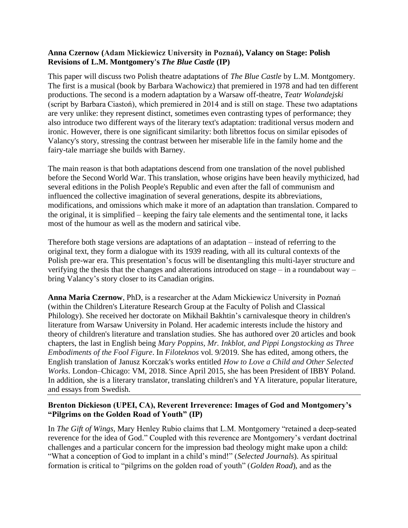#### **Anna Czernow (Adam Mickiewicz University in Poznań), Valancy on Stage: Polish Revisions of L.M. Montgomery's** *The Blue Castle* **(IP)**

This paper will discuss two Polish theatre adaptations of *The Blue Castle* by L.M. Montgomery. The first is a musical (book by Barbara Wachowicz) that premiered in 1978 and had ten different productions. The second is a modern adaptation by a Warsaw off-theatre, *Teatr Wolandejski* (script by Barbara Ciastoń), which premiered in 2014 and is still on stage. These two adaptations are very unlike: they represent distinct, sometimes even contrasting types of performance; they also introduce two different ways of the literary text's adaptation: traditional versus modern and ironic. However, there is one significant similarity: both librettos focus on similar episodes of Valancy's story, stressing the contrast between her miserable life in the family home and the fairy-tale marriage she builds with Barney.

The main reason is that both adaptations descend from one translation of the novel published before the Second World War. This translation, whose origins have been heavily mythicized, had several editions in the Polish People's Republic and even after the fall of communism and influenced the collective imagination of several generations, despite its abbreviations, modifications, and omissions which make it more of an adaptation than translation. Compared to the original, it is simplified – keeping the fairy tale elements and the sentimental tone, it lacks most of the humour as well as the modern and satirical vibe.

Therefore both stage versions are adaptations of an adaptation – instead of referring to the original text, they form a dialogue with its 1939 reading, with all its cultural contexts of the Polish pre-war era. This presentation's focus will be disentangling this multi-layer structure and verifying the thesis that the changes and alterations introduced on stage – in a roundabout way – bring Valancy's story closer to its Canadian origins.

**Anna Maria Czernow**, PhD, is a researcher at the Adam Mickiewicz University in Poznań (within the Children's Literature Research Group at the Faculty of Polish and Classical Philology). She received her doctorate on Mikhail Bakhtin's carnivalesque theory in children's literature from Warsaw University in Poland. Her academic interests include the history and theory of children's literature and translation studies. She has authored over 20 articles and book chapters, the last in English being *Mary Poppins, Mr. Inkblot, and Pippi Longstocking as Three Embodiments of the Fool Figure*. In *Filoteknos* vol. 9/2019. She has edited, among others, the English translation of Janusz Korczak's works entitled *How to Love a Child and Other Selected Works*. London–Chicago: VM, 2018. Since April 2015, she has been President of IBBY Poland. In addition, she is a literary translator, translating children's and YA literature, popular literature, and essays from Swedish.

# **Brenton Dickieson (UPEI, CA), Reverent Irreverence: Images of God and Montgomery's "Pilgrims on the Golden Road of Youth" (IP)**

In *The Gift of Wings*, Mary Henley Rubio claims that L.M. Montgomery "retained a deep-seated reverence for the idea of God." Coupled with this reverence are Montgomery's verdant doctrinal challenges and a particular concern for the impression bad theology might make upon a child: "What a conception of God to implant in a child's mind!" (*Selected Journals*). As spiritual formation is critical to "pilgrims on the golden road of youth" (*Golden Road*), and as the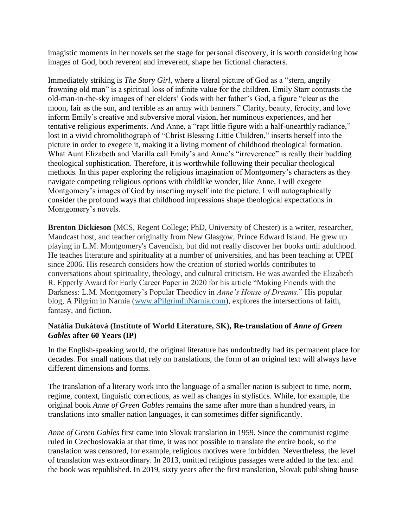imagistic moments in her novels set the stage for personal discovery, it is worth considering how images of God, both reverent and irreverent, shape her fictional characters.

Immediately striking is *The Story Girl*, where a literal picture of God as a "stern, angrily frowning old man" is a spiritual loss of infinite value for the children. Emily Starr contrasts the old-man-in-the-sky images of her elders' Gods with her father's God, a figure "clear as the moon, fair as the sun, and terrible as an army with banners." Clarity, beauty, ferocity, and love inform Emily's creative and subversive moral vision, her numinous experiences, and her tentative religious experiments. And Anne, a "rapt little figure with a half-unearthly radiance," lost in a vivid chromolithograph of "Christ Blessing Little Children," inserts herself into the picture in order to exegete it, making it a living moment of childhood theological formation. What Aunt Elizabeth and Marilla call Emily's and Anne's "irreverence" is really their budding theological sophistication. Therefore, it is worthwhile following their peculiar theological methods. In this paper exploring the religious imagination of Montgomery's characters as they navigate competing religious options with childlike wonder, like Anne, I will exegete Montgomery's images of God by inserting myself into the picture. I will autographically consider the profound ways that childhood impressions shape theological expectations in Montgomery's novels.

**Brenton Dickieson** (MCS, Regent College; PhD, University of Chester) is a writer, researcher, Maudcast host, and teacher originally from New Glasgow, Prince Edward Island. He grew up playing in L.M. Montgomery's Cavendish, but did not really discover her books until adulthood. He teaches literature and spirituality at a number of universities, and has been teaching at UPEI since 2006. His research considers how the creation of storied worlds contributes to conversations about spirituality, theology, and cultural criticism. He was awarded the Elizabeth R. Epperly Award for Early Career Paper in 2020 for his article "Making Friends with the Darkness: L.M. Montgomery's Popular Theodicy in *Anne's House of Dreams*." His popular blog, A Pilgrim in Narnia [\(www.aPilgrimInNarnia.com\)](http://www.apilgriminnarnia.com/), explores the intersections of faith, fantasy, and fiction.

## **Natália Dukátová (Institute of World Literature, SK), Re-translation of** *Anne of Green Gables* **after 60 Years (IP)**

In the English-speaking world, the original literature has undoubtedly had its permanent place for decades. For small nations that rely on translations, the form of an original text will always have different dimensions and forms.

The translation of a literary work into the language of a smaller nation is subject to time, norm, regime, context, linguistic corrections, as well as changes in stylistics. While, for example, the original book *Anne of Green Gables* remains the same after more than a hundred years, in translations into smaller nation languages, it can sometimes differ significantly.

*Anne of Green Gables* first came into Slovak translation in 1959. Since the communist regime ruled in Czechoslovakia at that time, it was not possible to translate the entire book, so the translation was censored, for example, religious motives were forbidden. Nevertheless, the level of translation was extraordinary. In 2013, omitted religious passages were added to the text and the book was republished. In 2019, sixty years after the first translation, Slovak publishing house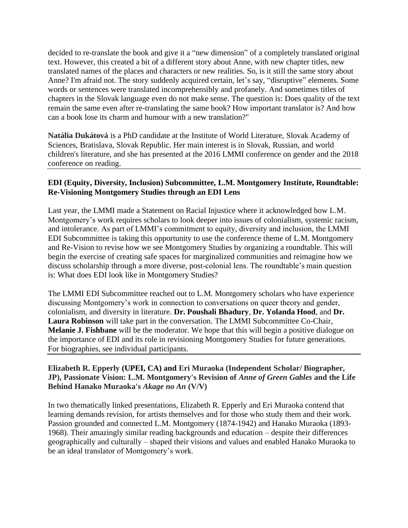decided to re-translate the book and give it a "new dimension" of a completely translated original text. However, this created a bit of a different story about Anne, with new chapter titles, new translated names of the places and characters or new realities. So, is it still the same story about Anne? I'm afraid not. The story suddenly acquired certain, let's say, "disruptive" elements. Some words or sentences were translated incomprehensibly and profanely. And sometimes titles of chapters in the Slovak language even do not make sense. The question is: Does quality of the text remain the same even after re-translating the same book? How important translator is? And how can a book lose its charm and humour with a new translation?"

**Natália Dukátová** is a PhD candidate at the Institute of World Literature, Slovak Academy of Sciences, Bratislava, Slovak Republic. Her main interest is in Slovak, Russian, and world children's literature, and she has presented at the 2016 LMMI conference on gender and the 2018 conference on reading.

## **EDI (Equity, Diversity, Inclusion) Subcommittee, L.M. Montgomery Institute, Roundtable: Re-Visioning Montgomery Studies through an EDI Lens**

Last year, the LMMI made a Statement on Racial Injustice where it acknowledged how L.M. Montgomery's work requires scholars to look deeper into issues of colonialism, systemic racism, and intolerance. As part of LMMI's commitment to equity, diversity and inclusion, the LMMI EDI Subcommittee is taking this opportunity to use the conference theme of L.M. Montgomery and Re-Vision to revise how we see Montgomery Studies by organizing a roundtable. This will begin the exercise of creating safe spaces for marginalized communities and reimagine how we discuss scholarship through a more diverse, post-colonial lens. The roundtable's main question is: What does EDI look like in Montgomery Studies?

The LMMI EDI Subcommittee reached out to L.M. Montgomery scholars who have experience discussing Montgomery's work in connection to conversations on queer theory and gender, colonialism, and diversity in literature. **Dr. Poushali Bhadury**, **Dr. Yolanda Hood**, and **Dr. Laura Robinson** will take part in the conversation. The LMMI Subcommittee Co-Chair, **Melanie J. Fishbane** will be the moderator. We hope that this will begin a positive dialogue on the importance of EDI and its role in revisioning Montgomery Studies for future generations. For biographies, see individual participants.

### **Elizabeth R. Epperly (UPEI, CA) and Eri Muraoka (Independent Scholar/ Biographer, JP), Passionate Vision: L.M. Montgomery's Revision of** *Anne of Green Gables* **and the Life Behind Hanako Muraoka's** *Akage no An* **(V/V)**

In two thematically linked presentations, Elizabeth R. Epperly and Eri Muraoka contend that learning demands revision, for artists themselves and for those who study them and their work. Passion grounded and connected L.M. Montgomery (1874-1942) and Hanako Muraoka (1893- 1968). Their amazingly similar reading backgrounds and education – despite their differences geographically and culturally – shaped their visions and values and enabled Hanako Muraoka to be an ideal translator of Montgomery's work.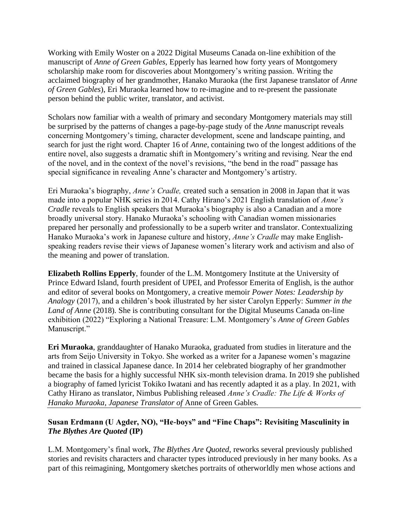Working with Emily Woster on a 2022 Digital Museums Canada on-line exhibition of the manuscript of *Anne of Green Gables*, Epperly has learned how forty years of Montgomery scholarship make room for discoveries about Montgomery's writing passion. Writing the acclaimed biography of her grandmother, Hanako Muraoka (the first Japanese translator of *Anne of Green Gables*), Eri Muraoka learned how to re-imagine and to re-present the passionate person behind the public writer, translator, and activist.

Scholars now familiar with a wealth of primary and secondary Montgomery materials may still be surprised by the patterns of changes a page-by-page study of the *Anne* manuscript reveals concerning Montgomery's timing, character development, scene and landscape painting, and search for just the right word. Chapter 16 of *Anne*, containing two of the longest additions of the entire novel, also suggests a dramatic shift in Montgomery's writing and revising. Near the end of the novel, and in the context of the novel's revisions, "the bend in the road" passage has special significance in revealing Anne's character and Montgomery's artistry.

Eri Muraoka's biography, *Anne's Cradle,* created such a sensation in 2008 in Japan that it was made into a popular NHK series in 2014. Cathy Hirano's 2021 English translation of *Anne's Cradle* reveals to English speakers that Muraoka's biography is also a Canadian and a more broadly universal story. Hanako Muraoka's schooling with Canadian women missionaries prepared her personally and professionally to be a superb writer and translator. Contextualizing Hanako Muraoka's work in Japanese culture and history, *Anne's Cradle* may make Englishspeaking readers revise their views of Japanese women's literary work and activism and also of the meaning and power of translation.

**Elizabeth Rollins Epperly**, founder of the L.M. Montgomery Institute at the University of Prince Edward Island, fourth president of UPEI, and Professor Emerita of English, is the author and editor of several books on Montgomery, a creative memoir *Power Notes: Leadership by Analogy* (2017), and a children's book illustrated by her sister Carolyn Epperly: *Summer in the Land of Anne* (2018)*.* She is contributing consultant for the Digital Museums Canada on-line exhibition (2022) "Exploring a National Treasure: L.M. Montgomery's *Anne of Green Gables*  Manuscript."

**Eri Muraoka**, granddaughter of Hanako Muraoka, graduated from studies in literature and the arts from Seijo University in Tokyo. She worked as a writer for a Japanese women's magazine and trained in classical Japanese dance. In 2014 her celebrated biography of her grandmother became the basis for a highly successful NHK six-month television drama. In 2019 she published a biography of famed lyricist Tokiko Iwatani and has recently adapted it as a play. In 2021, with Cathy Hirano as translator, Nimbus Publishing released *Anne's Cradle: The Life & Works of Hanako Muraoka, Japanese Translator of* Anne of Green Gables*.* 

# **Susan Erdmann (U Agder, NO), "He-boys" and "Fine Chaps": Revisiting Masculinity in**  *The Blythes Are Quoted* **(IP)**

L.M. Montgomery's final work, *The Blythes Are Quoted*, reworks several previously published stories and revisits characters and character types introduced previously in her many books. As a part of this reimagining, Montgomery sketches portraits of otherworldly men whose actions and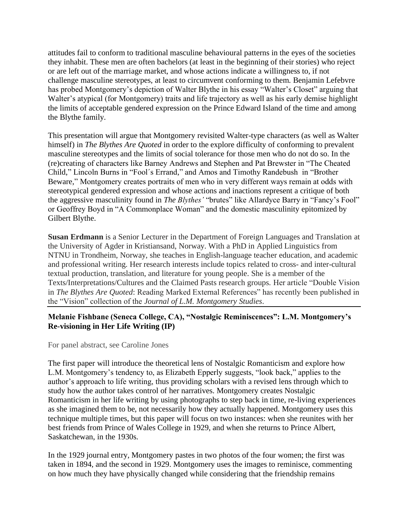attitudes fail to conform to traditional masculine behavioural patterns in the eyes of the societies they inhabit. These men are often bachelors (at least in the beginning of their stories) who reject or are left out of the marriage market, and whose actions indicate a willingness to, if not challenge masculine stereotypes, at least to circumvent conforming to them. Benjamin Lefebvre has probed Montgomery's depiction of Walter Blythe in his essay "Walter's Closet" arguing that Walter's atypical (for Montgomery) traits and life trajectory as well as his early demise highlight the limits of acceptable gendered expression on the Prince Edward Island of the time and among the Blythe family.

This presentation will argue that Montgomery revisited Walter-type characters (as well as Walter himself) in *The Blythes Are Quoted* in order to the explore difficulty of conforming to prevalent masculine stereotypes and the limits of social tolerance for those men who do not do so. In the (re)creating of characters like Barney Andrews and Stephen and Pat Brewster in "The Cheated Child," Lincoln Burns in "Fool´s Errand," and Amos and Timothy Randebush in "Brother Beware," Montgomery creates portraits of men who in very different ways remain at odds with stereotypical gendered expression and whose actions and inactions represent a critique of both the aggressive masculinity found in *The Blythes'* "brutes" like Allardyce Barry in "Fancy's Fool" or Geoffrey Boyd in "A Commonplace Woman" and the domestic masculinity epitomized by Gilbert Blythe.

**Susan Erdmann** is a Senior Lecturer in the Department of Foreign Languages and Translation at the University of Agder in Kristiansand, Norway. With a PhD in Applied Linguistics from NTNU in Trondheim, Norway, she teaches in English-language teacher education, and academic and professional writing. Her research interests include topics related to cross- and inter-cultural textual production, translation, and literature for young people. She is a member of the Texts/Interpretations/Cultures and the Claimed Pasts research groups. Her article "Double Vision in *The Blythes Are Quoted*: Reading Marked External References" has recently been published in the "Vision" collection of the *Journal of L.M. Montgomery Studies*.

# **Melanie Fishbane (Seneca College, CA), "Nostalgic Reminiscences": L.M. Montgomery's Re-visioning in Her Life Writing (IP)**

For panel abstract, see Caroline Jones

The first paper will introduce the theoretical lens of Nostalgic Romanticism and explore how L.M. Montgomery's tendency to, as Elizabeth Epperly suggests, "look back," applies to the author's approach to life writing, thus providing scholars with a revised lens through which to study how the author takes control of her narratives. Montgomery creates Nostalgic Romanticism in her life writing by using photographs to step back in time, re-living experiences as she imagined them to be, not necessarily how they actually happened. Montgomery uses this technique multiple times, but this paper will focus on two instances: when she reunites with her best friends from Prince of Wales College in 1929, and when she returns to Prince Albert, Saskatchewan, in the 1930s.

In the 1929 journal entry, Montgomery pastes in two photos of the four women; the first was taken in 1894, and the second in 1929. Montgomery uses the images to reminisce, commenting on how much they have physically changed while considering that the friendship remains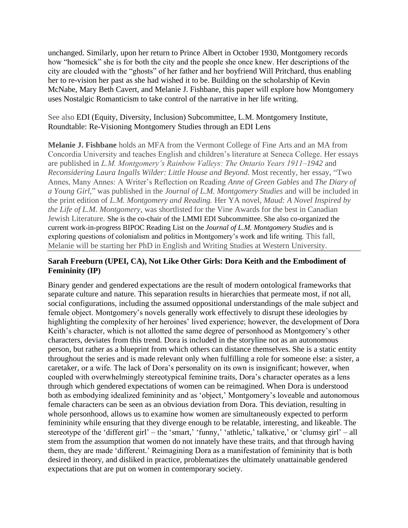unchanged. Similarly, upon her return to Prince Albert in October 1930, Montgomery records how "homesick" she is for both the city and the people she once knew. Her descriptions of the city are clouded with the "ghosts" of her father and her boyfriend Will Pritchard, thus enabling her to re-vision her past as she had wished it to be. Building on the scholarship of Kevin McNabe, Mary Beth Cavert, and Melanie J. Fishbane, this paper will explore how Montgomery uses Nostalgic Romanticism to take control of the narrative in her life writing.

## See also EDI (Equity, Diversity, Inclusion) Subcommittee, L.M. Montgomery Institute, Roundtable: Re-Visioning Montgomery Studies through an EDI Lens

**Melanie J. Fishbane** holds an MFA from the Vermont College of Fine Arts and an MA from Concordia University and teaches English and children's literature at Seneca College*.* Her essays are published in *L.M. Montgomery's Rainbow Valleys: The Ontario Years 1911–1942* and *Reconsidering Laura Ingalls Wilder: Little House and Beyond.* Most recently, her essay, "Two Annes, Many Annes: A Writer's Reflection on Reading *Anne of Green Gables* and *The Diary of a Young Girl,*" was published in the *Journal of L.M. Montgomery Studies* and will be included in the print edition of *L.M. Montgomery and Reading.* Her YA novel, *Maud: A Novel Inspired by the Life of L.M. Montgomery*, was shortlisted for the Vine Awards for the best in Canadian Jewish Literature. She is the co-chair of the LMMI EDI Subcommittee. She also co-organized the current work-in-progress BIPOC Reading List on the *Journal of L.M. Montgomery Studies* and is exploring questions of colonialism and politics in Montgomery's work and life writing. This fall, Melanie will be starting her PhD in English and Writing Studies at Western University.

## **Sarah Freeburn (UPEI, CA), Not Like Other Girls: Dora Keith and the Embodiment of Femininity (IP)**

Binary gender and gendered expectations are the result of modern ontological frameworks that separate culture and nature. This separation results in hierarchies that permeate most, if not all, social configurations, including the assumed oppositional understandings of the male subject and female object. Montgomery's novels generally work effectively to disrupt these ideologies by highlighting the complexity of her heroines' lived experience; however, the development of Dora Keith's character, which is not allotted the same degree of personhood as Montgomery's other characters, deviates from this trend. Dora is included in the storyline not as an autonomous person, but rather as a blueprint from which others can distance themselves. She is a static entity throughout the series and is made relevant only when fulfilling a role for someone else: a sister, a caretaker, or a wife. The lack of Dora's personality on its own is insignificant; however, when coupled with overwhelmingly stereotypical feminine traits, Dora's character operates as a lens through which gendered expectations of women can be reimagined. When Dora is understood both as embodying idealized femininity and as 'object,' Montgomery's loveable and autonomous female characters can be seen as an obvious deviation from Dora. This deviation, resulting in whole personhood, allows us to examine how women are simultaneously expected to perform femininity while ensuring that they diverge enough to be relatable, interesting, and likeable. The stereotype of the 'different girl' – the 'smart,' 'funny,' 'athletic,' talkative,' or 'clumsy girl' – all stem from the assumption that women do not innately have these traits, and that through having them, they are made 'different.' Reimagining Dora as a manifestation of femininity that is both desired in theory, and disliked in practice, problematizes the ultimately unattainable gendered expectations that are put on women in contemporary society.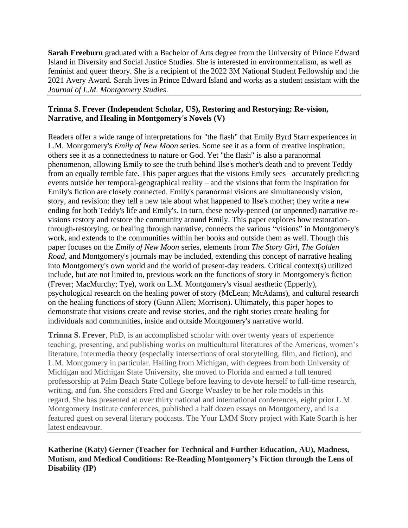**Sarah Freeburn** graduated with a Bachelor of Arts degree from the University of Prince Edward Island in Diversity and Social Justice Studies. She is interested in environmentalism, as well as feminist and queer theory. She is a recipient of the 2022 3M National Student Fellowship and the 2021 Avery Award. Sarah lives in Prince Edward Island and works as a student assistant with the *Journal of L.M. Montgomery Studies*.

## **Trinna S. Frever (Independent Scholar, US), Restoring and Restorying: Re-vision, Narrative, and Healing in Montgomery's Novels (V)**

Readers offer a wide range of interpretations for "the flash" that Emily Byrd Starr experiences in L.M. Montgomery's *Emily of New Moon* series. Some see it as a form of creative inspiration; others see it as a connectedness to nature or God. Yet "the flash" is also a paranormal phenomenon, allowing Emily to see the truth behind Ilse's mother's death and to prevent Teddy from an equally terrible fate. This paper argues that the visions Emily sees –accurately predicting events outside her temporal-geographical reality – and the visions that form the inspiration for Emily's fiction are closely connected. Emily's paranormal visions are simultaneously vision, story, and revision: they tell a new tale about what happened to Ilse's mother; they write a new ending for both Teddy's life and Emily's. In turn, these newly-penned (or unpenned) narrative revisions restory and restore the community around Emily. This paper explores how restorationthrough-restorying, or healing through narrative, connects the various "visions" in Montgomery's work, and extends to the communities within her books and outside them as well. Though this paper focuses on the *Emily of New Moon* series, elements from *The Story Girl*, *The Golden Road*, and Montgomery's journals may be included, extending this concept of narrative healing into Montgomery's own world and the world of present-day readers. Critical context(s) utilized include, but are not limited to, previous work on the functions of story in Montgomery's fiction (Frever; MacMurchy; Tye), work on L.M. Montgomery's visual aesthetic (Epperly), psychological research on the healing power of story (McLean; McAdams), and cultural research on the healing functions of story (Gunn Allen; Morrison). Ultimately, this paper hopes to demonstrate that visions create and revise stories, and the right stories create healing for individuals and communities, inside and outside Montgomery's narrative world.

**Trinna S. Frever**, PhD, is an accomplished scholar with over twenty years of experience teaching, presenting, and publishing works on multicultural literatures of the Americas, women's literature, intermedia theory (especially intersections of oral storytelling, film, and fiction), and L.M. Montgomery in particular. Hailing from Michigan, with degrees from both University of Michigan and Michigan State University, she moved to Florida and earned a full tenured professorship at Palm Beach State College before leaving to devote herself to full-time research, writing, and fun. She considers Fred and George Weasley to be her role models in this regard. She has presented at over thirty national and international conferences, eight prior L.M. Montgomery Institute conferences, published a half dozen essays on Montgomery, and is a featured guest on several literary podcasts. The Your LMM Story project with Kate Scarth is her latest endeavour.

**Katherine (Katy) Gerner (Teacher for Technical and Further Education, AU), Madness, Mutism, and Medical Conditions: Re-Reading Montgomery's Fiction through the Lens of Disability (IP)**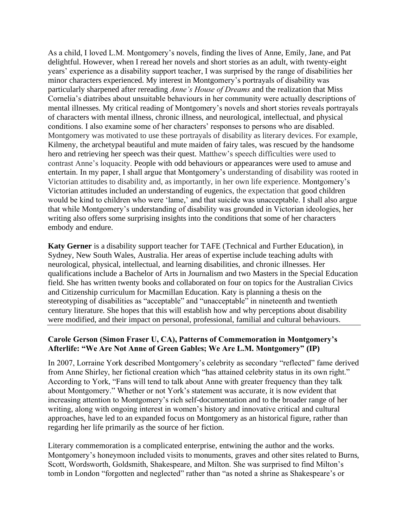As a child, I loved L.M. Montgomery's novels, finding the lives of Anne, Emily, Jane, and Pat delightful. However, when I reread her novels and short stories as an adult, with twenty-eight years' experience as a disability support teacher, I was surprised by the range of disabilities her minor characters experienced. My interest in Montgomery's portrayals of disability was particularly sharpened after rereading *Anne's House of Dreams* and the realization that Miss Cornelia's diatribes about unsuitable behaviours in her community were actually descriptions of mental illnesses. My critical reading of Montgomery's novels and short stories reveals portrayals of characters with mental illness, chronic illness, and neurological, intellectual, and physical conditions. I also examine some of her characters' responses to persons who are disabled. Montgomery was motivated to use these portrayals of disability as literary devices. For example, Kilmeny, the archetypal beautiful and mute maiden of fairy tales, was rescued by the handsome hero and retrieving her speech was their quest. Matthew's speech difficulties were used to contrast Anne's loquacity. People with odd behaviours or appearances were used to amuse and entertain. In my paper, I shall argue that Montgomery's understanding of disability was rooted in Victorian attitudes to disability and, as importantly, in her own life experience. Montgomery's Victorian attitudes included an understanding of eugenics, the expectation that good children would be kind to children who were 'lame,' and that suicide was unacceptable. I shall also argue that while Montgomery's understanding of disability was grounded in Victorian ideologies, her writing also offers some surprising insights into the conditions that some of her characters embody and endure.

**Katy Gerner** is a disability support teacher for TAFE (Technical and Further Education), in Sydney, New South Wales, Australia. Her areas of expertise include teaching adults with neurological, physical, intellectual, and learning disabilities, and chronic illnesses. Her qualifications include a Bachelor of Arts in Journalism and two Masters in the Special Education field. She has written twenty books and collaborated on four on topics for the Australian Civics and Citizenship curriculum for Macmillan Education. Katy is planning a thesis on the stereotyping of disabilities as "acceptable" and "unacceptable" in nineteenth and twentieth century literature. She hopes that this will establish how and why perceptions about disability were modified, and their impact on personal, professional, familial and cultural behaviours.

#### **Carole Gerson (Simon Fraser U, CA), Patterns of Commemoration in Montgomery's Afterlife: "We Are Not Anne of Green Gables; We Are L.M. Montgomery" (IP)**

In 2007, Lorraine York described Montgomery's celebrity as secondary "reflected" fame derived from Anne Shirley, her fictional creation which "has attained celebrity status in its own right." According to York, "Fans will tend to talk about Anne with greater frequency than they talk about Montgomery." Whether or not York's statement was accurate, it is now evident that increasing attention to Montgomery's rich self-documentation and to the broader range of her writing, along with ongoing interest in women's history and innovative critical and cultural approaches, have led to an expanded focus on Montgomery as an historical figure, rather than regarding her life primarily as the source of her fiction.

Literary commemoration is a complicated enterprise, entwining the author and the works. Montgomery's honeymoon included visits to monuments, graves and other sites related to Burns, Scott, Wordsworth, Goldsmith, Shakespeare, and Milton. She was surprised to find Milton's tomb in London "forgotten and neglected" rather than "as noted a shrine as Shakespeare's or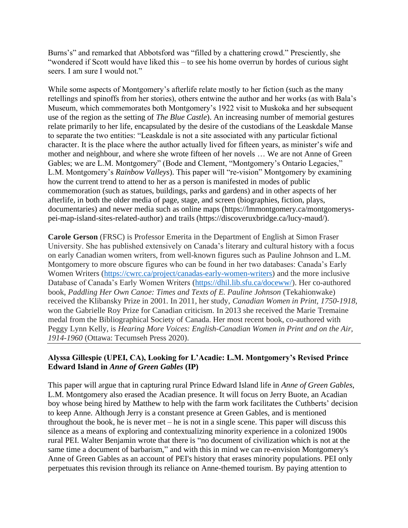Burns's" and remarked that Abbotsford was "filled by a chattering crowd." Presciently, she "wondered if Scott would have liked this – to see his home overrun by hordes of curious sight seers. I am sure I would not."

While some aspects of Montgomery's afterlife relate mostly to her fiction (such as the many retellings and spinoffs from her stories), others entwine the author and her works (as with Bala's Museum, which commemorates both Montgomery's 1922 visit to Muskoka and her subsequent use of the region as the setting of *The Blue Castle*). An increasing number of memorial gestures relate primarily to her life, encapsulated by the desire of the custodians of the Leaskdale Manse to separate the two entities: "Leaskdale is not a site associated with any particular fictional character. It is the place where the author actually lived for fifteen years, as minister's wife and mother and neighbour, and where she wrote fifteen of her novels … We are not Anne of Green Gables; we are L.M. Montgomery" (Bode and Clement, "Montgomery's Ontario Legacies," L.M. Montgomery's *Rainbow Valleys*). This paper will "re-vision" Montgomery by examining how the current trend to attend to her as a person is manifested in modes of public commemoration (such as statues, buildings, parks and gardens) and in other aspects of her afterlife, in both the older media of page, stage, and screen (biographies, fiction, plays, documentaries) and newer media such as online maps (https://lmmontgomery.ca/montgomeryspei-map-island-sites-related-author) and trails (https://discoveruxbridge.ca/lucy-maud/).

**Carole Gerson** (FRSC) is Professor Emerita in the Department of English at Simon Fraser University. She has published extensively on Canada's literary and cultural history with a focus on early Canadian women writers, from well-known figures such as Pauline Johnson and L.M. Montgomery to more obscure figures who can be found in her two databases: Canada's Early Women Writers [\(https://cwrc.ca/project/canadas-early-women-writers\)](https://cwrc.ca/project/canadas-early-women-writers) and the more inclusive Database of Canada's Early Women Writers [\(https://dhil.lib.sfu.ca/doceww/\)](https://dhil.lib.sfu.ca/doceww/). Her co-authored book, *Paddling Her Own Canoe: Times and Texts of E. Pauline Johnson* (Tekahionwake) received the Klibansky Prize in 2001. In 2011, her study, *Canadian Women in Print, 1750-1918*, won the Gabrielle Roy Prize for Canadian criticism. In 2013 she received the Marie Tremaine medal from the Bibliographical Society of Canada. Her most recent book, co-authored with Peggy Lynn Kelly, is *Hearing More Voices: English-Canadian Women in Print and on the Air, 1914-1960* (Ottawa: Tecumseh Press 2020).

#### **Alyssa Gillespie (UPEI, CA), Looking for L'Acadie: L.M. Montgomery's Revised Prince Edward Island in** *Anne of Green Gables* **(IP)**

This paper will argue that in capturing rural Prince Edward Island life in *Anne of Green Gables*, L.M. Montgomery also erased the Acadian presence. It will focus on Jerry Buote, an Acadian boy whose being hired by Matthew to help with the farm work facilitates the Cuthberts' decision to keep Anne. Although Jerry is a constant presence at Green Gables, and is mentioned throughout the book, he is never met – he is not in a single scene. This paper will discuss this silence as a means of exploring and contextualizing minority experience in a colonized 1900s rural PEI. Walter Benjamin wrote that there is "no document of civilization which is not at the same time a document of barbarism," and with this in mind we can re-envision Montgomery's Anne of Green Gables as an account of PEI's history that erases minority populations. PEI only perpetuates this revision through its reliance on Anne-themed tourism. By paying attention to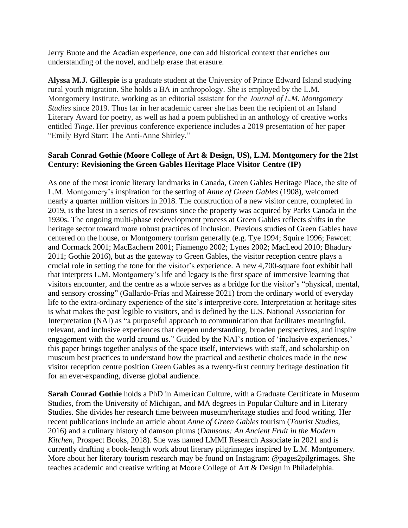Jerry Buote and the Acadian experience, one can add historical context that enriches our understanding of the novel, and help erase that erasure.

**Alyssa M.J. Gillespie** is a graduate student at the University of Prince Edward Island studying rural youth migration. She holds a BA in anthropology. She is employed by the L.M. Montgomery Institute, working as an editorial assistant for the *Journal of L.M. Montgomery Studies* since 2019. Thus far in her academic career she has been the recipient of an Island Literary Award for poetry, as well as had a poem published in an anthology of creative works entitled *Tinge*. Her previous conference experience includes a 2019 presentation of her paper "Emily Byrd Starr: The Anti-Anne Shirley."

### **Sarah Conrad Gothie (Moore College of Art & Design, US), L.M. Montgomery for the 21st Century: Revisioning the Green Gables Heritage Place Visitor Centre (IP)**

As one of the most iconic literary landmarks in Canada, Green Gables Heritage Place, the site of L.M. Montgomery's inspiration for the setting of *Anne of Green Gables* (1908), welcomed nearly a quarter million visitors in 2018. The construction of a new visitor centre, completed in 2019, is the latest in a series of revisions since the property was acquired by Parks Canada in the 1930s. The ongoing multi-phase redevelopment process at Green Gables reflects shifts in the heritage sector toward more robust practices of inclusion. Previous studies of Green Gables have centered on the house, or Montgomery tourism generally (e.g. Tye 1994; Squire 1996; Fawcett and Cormack 2001; MacEachern 2001; Fiamengo 2002; Lynes 2002; MacLeod 2010; Bhadury 2011; Gothie 2016), but as the gateway to Green Gables, the visitor reception centre plays a crucial role in setting the tone for the visitor's experience. A new 4,700-square foot exhibit hall that interprets L.M. Montgomery's life and legacy is the first space of immersive learning that visitors encounter, and the centre as a whole serves as a bridge for the visitor's "physical, mental, and sensory crossing" (Gallardo-Frías and Mairesse 2021) from the ordinary world of everyday life to the extra-ordinary experience of the site's interpretive core. Interpretation at heritage sites is what makes the past legible to visitors, and is defined by the U.S. National Association for Interpretation (NAI) as "a purposeful approach to communication that facilitates meaningful, relevant, and inclusive experiences that deepen understanding, broaden perspectives, and inspire engagement with the world around us." Guided by the NAI's notion of 'inclusive experiences,' this paper brings together analysis of the space itself, interviews with staff, and scholarship on museum best practices to understand how the practical and aesthetic choices made in the new visitor reception centre position Green Gables as a twenty-first century heritage destination fit for an ever-expanding, diverse global audience.

**Sarah Conrad Gothie** holds a PhD in American Culture, with a Graduate Certificate in Museum Studies, from the University of Michigan, and MA degrees in Popular Culture and in Literary Studies. She divides her research time between museum/heritage studies and food writing. Her recent publications include an article about *Anne of Green Gables* tourism (*Tourist Studies*, 2016) and a culinary history of damson plums (*Damsons: An Ancient Fruit in the Modern Kitchen*, Prospect Books, 2018). She was named LMMI Research Associate in 2021 and is currently drafting a book-length work about literary pilgrimages inspired by L.M. Montgomery. More about her literary tourism research may be found on Instagram: @pages2pilgrimages. She teaches academic and creative writing at Moore College of Art & Design in Philadelphia.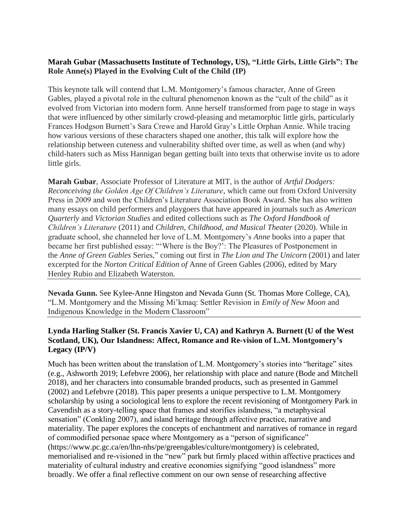## **Marah Gubar (Massachusetts Institute of Technology, US), "Little Girls, Little Girls": The Role Anne(s) Played in the Evolving Cult of the Child (IP)**

This keynote talk will contend that L.M. Montgomery's famous character, Anne of Green Gables, played a pivotal role in the cultural phenomenon known as the "cult of the child" as it evolved from Victorian into modern form. Anne herself transformed from page to stage in ways that were influenced by other similarly crowd-pleasing and metamorphic little girls, particularly Frances Hodgson Burnett's Sara Crewe and Harold Gray's Little Orphan Annie. While tracing how various versions of these characters shaped one another, this talk will explore how the relationship between cuteness and vulnerability shifted over time, as well as when (and why) child-haters such as Miss Hannigan began getting built into texts that otherwise invite us to adore little girls.

**Marah Gubar**, Associate Professor of Literature at MIT, is the author of *Artful Dodgers: Reconceiving the Golden Age Of Children's Literature*, which came out from Oxford University Press in 2009 and won the Children's Literature Association Book Award. She has also written many essays on child performers and playgoers that have appeared in journals such as *American Quarterly* and *Victorian Studies* and edited collections such as *The Oxford Handbook of Children's Literature* (2011) and *Children, Childhood, and Musical Theater* (2020). While in graduate school, she channeled her love of L.M. Montgomery's *Anne* books into a paper that became her first published essay: "'Where is the Boy?': The Pleasures of Postponement in the *Anne of Green Gables* Series," coming out first in *The Lion and The Unicorn* (2001) and later excerpted for the *Norton Critical Edition of* Anne of Green Gables (2006), edited by Mary Henley Rubio and Elizabeth Waterston.

**Nevada Gunn.** See Kylee-Anne Hingston and Nevada Gunn (St. Thomas More College, CA), "L.M. Montgomery and the Missing Mi'kmaq: Settler Revision in *Emily of New Moon* and Indigenous Knowledge in the Modern Classroom"

# **Lynda Harling Stalker (St. Francis Xavier U, CA) and Kathryn A. Burnett (U of the West Scotland, UK), Our Islandness: Affect, Romance and Re-vision of L.M. Montgomery's Legacy (IP/V)**

Much has been written about the translation of L.M. Montgomery's stories into "heritage" sites (e.g., Ashworth 2019; Lefebvre 2006), her relationship with place and nature (Bode and Mitchell 2018), and her characters into consumable branded products, such as presented in Gammel (2002) and Lefebvre (2018). This paper presents a unique perspective to L.M. Montgomery scholarship by using a sociological lens to explore the recent revisioning of Montgomery Park in Cavendish as a story-telling space that frames and storifies islandness, "a metaphysical sensation" (Conkling 2007), and island heritage through affective practice, narrative and materiality. The paper explores the concepts of enchantment and narratives of romance in regard of commodified personae space where Montgomery as a "person of significance" (https://www.pc.gc.ca/en/lhn-nhs/pe/greengables/culture/montgomery) is celebrated, memorialised and re-visioned in the "new" park but firmly placed within affective practices and materiality of cultural industry and creative economies signifying "good islandness" more broadly. We offer a final reflective comment on our own sense of researching affective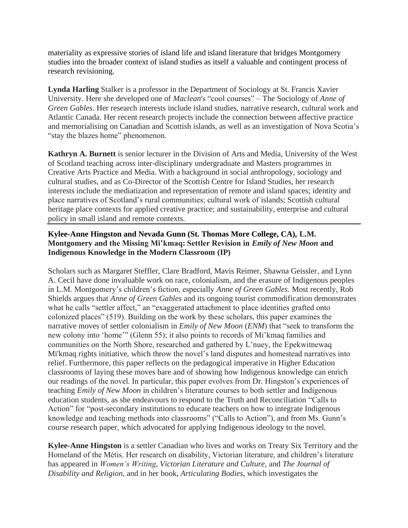materiality as expressive stories of island life and island literature that bridges Montgomery studies into the broader context of island studies as itself a valuable and contingent process of research revisioning.

**Lynda Harling** Stalker is a professor in the Department of Sociology at St. Francis Xavier University. Here she developed one of *Maclean*'s "cool courses" – The Sociology of *Anne of Green Gables*. Her research interests include island studies, narrative research, cultural work and Atlantic Canada. Her recent research projects include the connection between affective practice and memorialising on Canadian and Scottish islands, as well as an investigation of Nova Scotia's "stay the blazes home" phenomenon.

**Kathryn A. Burnett** is senior lecturer in the Division of Arts and Media, University of the West of Scotland teaching across inter-disciplinary undergraduate and Masters programmes in Creative Arts Practice and Media. With a background in social anthropology, sociology and cultural studies, and as Co-Director of the Scottish Centre for Island Studies, her research interests include the mediatization and representation of remote and island spaces; identity and place narratives of Scotland's rural communities; cultural work of islands; Scottish cultural heritage place contexts for applied creative practice; and sustainability, enterprise and cultural policy in small island and remote contexts.

# **Kylee-Anne Hingston and Nevada Gunn (St. Thomas More College, CA), L.M. Montgomery and the Missing Mi'kmaq: Settler Revision in** *Emily of New Moon* **and Indigenous Knowledge in the Modern Classroom (IP)**

Scholars such as Margaret Steffler, Clare Bradford, Mavis Reimer, Shawna Geissler, and Lynn A. Cecil have done invaluable work on race, colonialism, and the erasure of Indigenous peoples in L.M. Montgomery's children's fiction, especially *Anne of Green Gables*. Most recently, Rob Shields argues that *Anne of Green Gables* and its ongoing tourist commodification demonstrates what he calls "settler affect," an "exaggerated attachment to place identities grafted onto colonized places" (519). Building on the work by these scholars, this paper examines the narrative moves of settler colonialism in *Emily of New Moon* (*ENM*) that "seek to transform the new colony into 'home'" (Glenn 55); it also points to records of Mi'kmaq families and communities on the North Shore, researched and gathered by L'nuey, the Epekwitnewaq Mi'kmaq rights initiative, which throw the novel's land disputes and homestead narratives into relief. Furthermore, this paper reflects on the pedagogical imperative in Higher Education classrooms of laying these moves bare and of showing how Indigenous knowledge can enrich our readings of the novel. In particular, this paper evolves from Dr. Hingston's experiences of teaching *Emily of New Moon* in children's literature courses to both settler and Indigenous education students, as she endeavours to respond to the Truth and Reconciliation "Calls to Action" for "post-secondary institutions to educate teachers on how to integrate Indigenous knowledge and teaching methods into classrooms" ("Calls to Action"), and from Ms. Gunn's course research paper, which advocated for applying Indigenous ideology to the novel.

**Kylee-Anne Hingston** is a settler Canadian who lives and works on Treaty Six Territory and the Homeland of the Métis. Her research on disability, Victorian literature, and children's literature has appeared in *Women's Writing*, *Victorian Literature and Culture*, and *The Journal of Disability and Religion*, and in her book, *Articulating Bodies*, which investigates the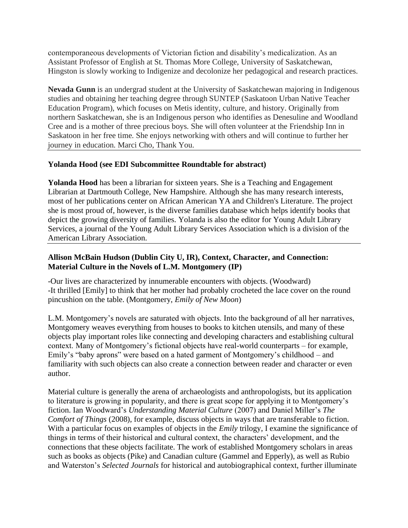contemporaneous developments of Victorian fiction and disability's medicalization. As an Assistant Professor of English at St. Thomas More College, University of Saskatchewan, Hingston is slowly working to Indigenize and decolonize her pedagogical and research practices.

**Nevada Gunn** is an undergrad student at the University of Saskatchewan majoring in Indigenous studies and obtaining her teaching degree through SUNTEP (Saskatoon Urban Native Teacher Education Program), which focuses on Metis identity, culture, and history. Originally from northern Saskatchewan, she is an Indigenous person who identifies as Denesuline and Woodland Cree and is a mother of three precious boys. She will often volunteer at the Friendship Inn in Saskatoon in her free time. She enjoys networking with others and will continue to further her journey in education. Marci Cho, Thank You.

#### **Yolanda Hood (see EDI Subcommittee Roundtable for abstract)**

**Yolanda Hood** has been a librarian for sixteen years. She is a Teaching and Engagement Librarian at Dartmouth College, New Hampshire. Although she has many research interests, most of her publications center on African American YA and Children's Literature. The project she is most proud of, however, is the diverse families database which helps identify books that depict the growing diversity of families. Yolanda is also the editor for Young Adult Library Services, a journal of the Young Adult Library Services Association which is a division of the American Library Association.

## **Allison McBain Hudson (Dublin City U, IR), Context, Character, and Connection: Material Culture in the Novels of L.M. Montgomery (IP)**

-Our lives are characterized by innumerable encounters with objects. (Woodward) -It thrilled [Emily] to think that her mother had probably crocheted the lace cover on the round pincushion on the table. (Montgomery, *Emily of New Moon*)

L.M. Montgomery's novels are saturated with objects. Into the background of all her narratives, Montgomery weaves everything from houses to books to kitchen utensils, and many of these objects play important roles like connecting and developing characters and establishing cultural context. Many of Montgomery's fictional objects have real-world counterparts – for example, Emily's "baby aprons" were based on a hated garment of Montgomery's childhood – and familiarity with such objects can also create a connection between reader and character or even author.

Material culture is generally the arena of archaeologists and anthropologists, but its application to literature is growing in popularity, and there is great scope for applying it to Montgomery's fiction. Ian Woodward's *Understanding Material Culture* (2007) and Daniel Miller's *The Comfort of Things* (2008), for example, discuss objects in ways that are transferable to fiction. With a particular focus on examples of objects in the *Emily* trilogy, I examine the significance of things in terms of their historical and cultural context, the characters' development, and the connections that these objects facilitate. The work of established Montgomery scholars in areas such as books as objects (Pike) and Canadian culture (Gammel and Epperly), as well as Rubio and Waterston's *Selected Journals* for historical and autobiographical context, further illuminate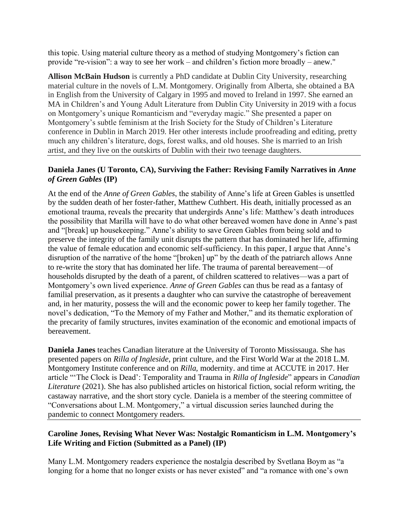this topic. Using material culture theory as a method of studying Montgomery's fiction can provide "re-vision": a way to see her work – and children's fiction more broadly – anew."

**Allison McBain Hudson** is currently a PhD candidate at Dublin City University, researching material culture in the novels of L.M. Montgomery. Originally from Alberta, she obtained a BA in English from the University of Calgary in 1995 and moved to Ireland in 1997. She earned an MA in Children's and Young Adult Literature from Dublin City University in 2019 with a focus on Montgomery's unique Romanticism and "everyday magic." She presented a paper on Montgomery's subtle feminism at the Irish Society for the Study of Children's Literature conference in Dublin in March 2019. Her other interests include proofreading and editing, pretty much any children's literature, dogs, forest walks, and old houses. She is married to an Irish artist, and they live on the outskirts of Dublin with their two teenage daughters.

#### **Daniela Janes (U Toronto, CA), Surviving the Father: Revising Family Narratives in** *Anne of Green Gables* **(IP)**

At the end of the *Anne of Green Gables*, the stability of Anne's life at Green Gables is unsettled by the sudden death of her foster-father, Matthew Cuthbert. His death, initially processed as an emotional trauma, reveals the precarity that undergirds Anne's life: Matthew's death introduces the possibility that Marilla will have to do what other bereaved women have done in Anne's past and "[break] up housekeeping." Anne's ability to save Green Gables from being sold and to preserve the integrity of the family unit disrupts the pattern that has dominated her life, affirming the value of female education and economic self-sufficiency. In this paper, I argue that Anne's disruption of the narrative of the home "[broken] up" by the death of the patriarch allows Anne to re-write the story that has dominated her life. The trauma of parental bereavement—of households disrupted by the death of a parent, of children scattered to relatives—was a part of Montgomery's own lived experience. *Anne of Green Gables* can thus be read as a fantasy of familial preservation, as it presents a daughter who can survive the catastrophe of bereavement and, in her maturity, possess the will and the economic power to keep her family together. The novel's dedication, "To the Memory of my Father and Mother," and its thematic exploration of the precarity of family structures, invites examination of the economic and emotional impacts of bereavement.

**Daniela Janes** teaches Canadian literature at the University of Toronto Mississauga. She has presented papers on *Rilla of Ingleside*, print culture, and the First World War at the 2018 L.M. Montgomery Institute conference and on *Rilla,* modernity. and time at ACCUTE in 2017. Her article "'The Clock is Dead': Temporality and Trauma in *Rilla of Ingleside*" appears in *Canadian Literature* (2021). She has also published articles on historical fiction, social reform writing, the castaway narrative, and the short story cycle. Daniela is a member of the steering committee of "Conversations about L.M. Montgomery," a virtual discussion series launched during the pandemic to connect Montgomery readers.

## **Caroline Jones, Revising What Never Was: Nostalgic Romanticism in L.M. Montgomery's Life Writing and Fiction (Submitted as a Panel) (IP)**

Many L.M. Montgomery readers experience the nostalgia described by Svetlana Boym as "a longing for a home that no longer exists or has never existed" and "a romance with one's own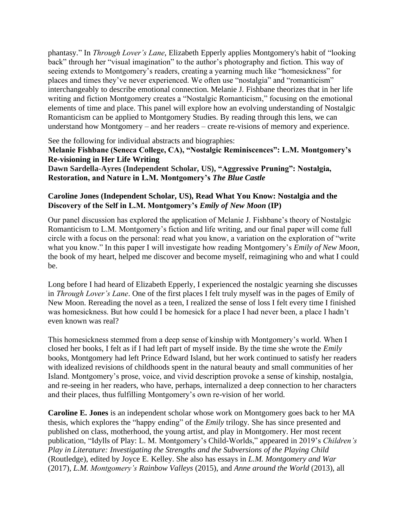phantasy." In *Through Lover's Lane*, Elizabeth Epperly applies Montgomery's habit of "looking back" through her "visual imagination" to the author's photography and fiction. This way of seeing extends to Montgomery's readers, creating a yearning much like "homesickness" for places and times they've never experienced. We often use "nostalgia" and "romanticism" interchangeably to describe emotional connection. Melanie J. Fishbane theorizes that in her life writing and fiction Montgomery creates a "Nostalgic Romanticism," focusing on the emotional elements of time and place. This panel will explore how an evolving understanding of Nostalgic Romanticism can be applied to Montgomery Studies. By reading through this lens, we can understand how Montgomery – and her readers – create re-visions of memory and experience.

See the following for individual abstracts and biographies: **Melanie Fishbane (Seneca College, CA), "Nostalgic Reminiscences": L.M. Montgomery's Re-visioning in Her Life Writing Dawn Sardella-Ayres (Independent Scholar, US), "Aggressive Pruning": Nostalgia, Restoration, and Nature in L.M. Montgomery's** *The Blue Castle*

### **Caroline Jones (Independent Scholar, US), Read What You Know: Nostalgia and the Discovery of the Self in L.M. Montgomery's** *Emily of New Moon* **(IP)**

Our panel discussion has explored the application of Melanie J. Fishbane's theory of Nostalgic Romanticism to L.M. Montgomery's fiction and life writing, and our final paper will come full circle with a focus on the personal: read what you know, a variation on the exploration of "write what you know." In this paper I will investigate how reading Montgomery's *Emily of New Moon*, the book of my heart, helped me discover and become myself, reimagining who and what I could be.

Long before I had heard of Elizabeth Epperly, I experienced the nostalgic yearning she discusses in *Through Lover's Lane*. One of the first places I felt truly myself was in the pages of Emily of New Moon. Rereading the novel as a teen, I realized the sense of loss I felt every time I finished was homesickness. But how could I be homesick for a place I had never been, a place I hadn't even known was real?

This homesickness stemmed from a deep sense of kinship with Montgomery's world. When I closed her books, I felt as if I had left part of myself inside. By the time she wrote the *Emily* books, Montgomery had left Prince Edward Island, but her work continued to satisfy her readers with idealized revisions of childhoods spent in the natural beauty and small communities of her Island. Montgomery's prose, voice, and vivid description provoke a sense of kinship, nostalgia, and re-seeing in her readers, who have, perhaps, internalized a deep connection to her characters and their places, thus fulfilling Montgomery's own re-vision of her world.

**Caroline E. Jones** is an independent scholar whose work on Montgomery goes back to her MA thesis, which explores the "happy ending" of the *Emily* trilogy. She has since presented and published on class, motherhood, the young artist, and play in Montgomery. Her most recent publication, "Idylls of Play: L. M. Montgomery's Child-Worlds," appeared in 2019's *Children's Play in Literature: Investigating the Strengths and the Subversions of the Playing Child* (Routledge), edited by Joyce E. Kelley. She also has essays in *L.M. Montgomery and War* (2017), *L.M. Montgomery's Rainbow Valleys* (2015), and *Anne around the World* (2013), all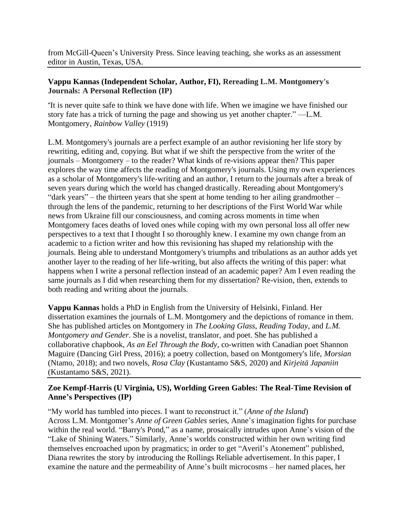from McGill-Queen's University Press. Since leaving teaching, she works as an assessment editor in Austin, Texas, USA.

## **Vappu Kannas (Independent Scholar, Author, FI), Rereading L.M. Montgomery's Journals: A Personal Reflection (IP)**

"It is never quite safe to think we have done with life. When we imagine we have finished our story fate has a trick of turning the page and showing us yet another chapter." —L.M. Montgomery, *Rainbow Valley* (1919)

L.M. Montgomery's journals are a perfect example of an author revisioning her life story by rewriting, editing and, copying. But what if we shift the perspective from the writer of the journals – Montgomery – to the reader? What kinds of re-visions appear then? This paper explores the way time affects the reading of Montgomery's journals. Using my own experiences as a scholar of Montgomery's life-writing and an author, I return to the journals after a break of seven years during which the world has changed drastically. Rereading about Montgomery's "dark years" – the thirteen years that she spent at home tending to her ailing grandmother – through the lens of the pandemic, returning to her descriptions of the First World War while news from Ukraine fill our consciousness, and coming across moments in time when Montgomery faces deaths of loved ones while coping with my own personal loss all offer new perspectives to a text that I thought I so thoroughly knew. I examine my own change from an academic to a fiction writer and how this revisioning has shaped my relationship with the journals. Being able to understand Montgomery's triumphs and tribulations as an author adds yet another layer to the reading of her life-writing, but also affects the writing of this paper: what happens when I write a personal reflection instead of an academic paper? Am I even reading the same journals as I did when researching them for my dissertation? Re-vision, then, extends to both reading and writing about the journals.

**Vappu Kannas** holds a PhD in English from the University of Helsinki, Finland. Her dissertation examines the journals of L.M. Montgomery and the depictions of romance in them. She has published articles on Montgomery in *The Looking Glass*, *Reading Today*, and *L.M. Montgomery and Gender*. She is a novelist, translator, and poet. She has published a collaborative chapbook, *As an Eel Through the Body*, co-written with Canadian poet Shannon Maguire (Dancing Girl Press, 2016); a poetry collection, based on Montgomery's life, *Morsian* (Ntamo, 2018); and two novels, *Rosa Clay* (Kustantamo S&S, 2020) and *Kirjeitä Japaniin* (Kustantamo S&S, 2021).

# **Zoe Kempf-Harris (U Virginia, US), Worlding Green Gables: The Real-Time Revision of Anne's Perspectives (IP)**

"My world has tumbled into pieces. I want to reconstruct it." (*Anne of the Island*) Across L.M. Montgomer's *Anne of Green Gables* series, Anne's imagination fights for purchase within the real world. "Barry's Pond," as a name, prosaically intrudes upon Anne's vision of the "Lake of Shining Waters." Similarly, Anne's worlds constructed within her own writing find themselves encroached upon by pragmatics; in order to get "Averil's Atonement" published, Diana rewrites the story by introducing the Rollings Reliable advertisement. In this paper, I examine the nature and the permeability of Anne's built microcosms – her named places, her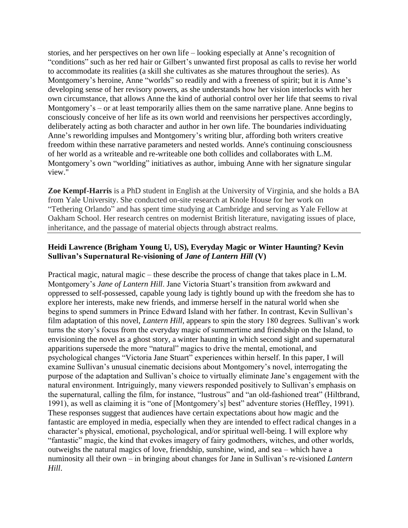stories, and her perspectives on her own life – looking especially at Anne's recognition of "conditions" such as her red hair or Gilbert's unwanted first proposal as calls to revise her world to accommodate its realities (a skill she cultivates as she matures throughout the series). As Montgomery's heroine, Anne "worlds" so readily and with a freeness of spirit; but it is Anne's developing sense of her revisory powers, as she understands how her vision interlocks with her own circumstance, that allows Anne the kind of authorial control over her life that seems to rival Montgomery's – or at least temporarily allies them on the same narrative plane. Anne begins to consciously conceive of her life as its own world and reenvisions her perspectives accordingly, deliberately acting as both character and author in her own life. The boundaries individuating Anne's reworlding impulses and Montgomery's writing blur, affording both writers creative freedom within these narrative parameters and nested worlds. Anne's continuing consciousness of her world as a writeable and re-writeable one both collides and collaborates with L.M. Montgomery's own "worlding" initiatives as author, imbuing Anne with her signature singular view."

**Zoe Kempf-Harris** is a PhD student in English at the University of Virginia, and she holds a BA from Yale University. She conducted on-site research at Knole House for her work on "Tethering Orlando" and has spent time studying at Cambridge and serving as Yale Fellow at Oakham School. Her research centres on modernist British literature, navigating issues of place, inheritance, and the passage of material objects through abstract realms.

### **Heidi Lawrence (Brigham Young U, US), Everyday Magic or Winter Haunting? Kevin Sullivan's Supernatural Re-visioning of** *Jane of Lantern Hill* **(V)**

Practical magic, natural magic – these describe the process of change that takes place in L.M. Montgomery's *Jane of Lantern Hill*. Jane Victoria Stuart's transition from awkward and oppressed to self-possessed, capable young lady is tightly bound up with the freedom she has to explore her interests, make new friends, and immerse herself in the natural world when she begins to spend summers in Prince Edward Island with her father. In contrast, Kevin Sullivan's film adaptation of this novel, *Lantern Hill*, appears to spin the story 180 degrees. Sullivan's work turns the story's focus from the everyday magic of summertime and friendship on the Island, to envisioning the novel as a ghost story, a winter haunting in which second sight and supernatural apparitions supersede the more "natural" magics to drive the mental, emotional, and psychological changes "Victoria Jane Stuart" experiences within herself. In this paper, I will examine Sullivan's unusual cinematic decisions about Montgomery's novel, interrogating the purpose of the adaptation and Sullivan's choice to virtually eliminate Jane's engagement with the natural environment. Intriguingly, many viewers responded positively to Sullivan's emphasis on the supernatural, calling the film, for instance, "lustrous" and "an old-fashioned treat" (Hiltbrand, 1991), as well as claiming it is "one of [Montgomery's] best" adventure stories (Heffley, 1991). These responses suggest that audiences have certain expectations about how magic and the fantastic are employed in media, especially when they are intended to effect radical changes in a character's physical, emotional, psychological, and/or spiritual well-being. I will explore why "fantastic" magic, the kind that evokes imagery of fairy godmothers, witches, and other worlds, outweighs the natural magics of love, friendship, sunshine, wind, and sea – which have a numinosity all their own – in bringing about changes for Jane in Sullivan's re-visioned *Lantern Hill*.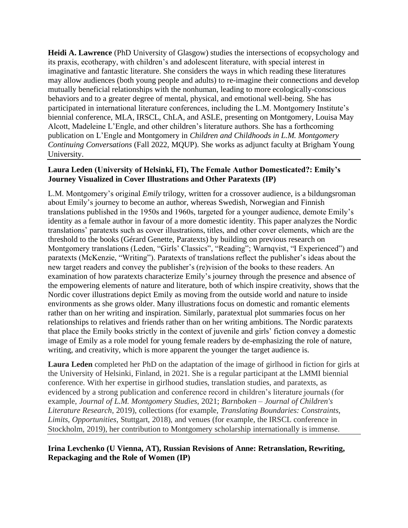**Heidi A. Lawrence** (PhD University of Glasgow) studies the intersections of ecopsychology and its praxis, ecotherapy, with children's and adolescent literature, with special interest in imaginative and fantastic literature. She considers the ways in which reading these literatures may allow audiences (both young people and adults) to re-imagine their connections and develop mutually beneficial relationships with the nonhuman, leading to more ecologically-conscious behaviors and to a greater degree of mental, physical, and emotional well-being. She has participated in international literature conferences, including the L.M. Montgomery Institute's biennial conference, MLA, IRSCL, ChLA, and ASLE, presenting on Montgomery, Louisa May Alcott, Madeleine L'Engle, and other children's literature authors. She has a forthcoming publication on L'Engle and Montgomery in *Children and Childhoods in L.M. Montgomery Continuing Conversations* (Fall 2022, MQUP). She works as adjunct faculty at Brigham Young University.

#### **Laura Leden (University of Helsinki, FI), The Female Author Domesticated?: Emily's Journey Visualized in Cover Illustrations and Other Paratexts (IP)**

L.M. Montgomery's original *Emily* trilogy, written for a crossover audience, is a bildungsroman about Emily's journey to become an author, whereas Swedish, Norwegian and Finnish translations published in the 1950s and 1960s, targeted for a younger audience, demote Emily's identity as a female author in favour of a more domestic identity. This paper analyzes the Nordic translations' paratexts such as cover illustrations, titles, and other cover elements, which are the threshold to the books (Gérard Genette, Paratexts) by building on previous research on Montgomery translations (Leden, "Girls' Classics", "Reading"; Warnqvist, "I Experienced") and paratexts (McKenzie, "Writing"). Paratexts of translations reflect the publisher's ideas about the new target readers and convey the publisher's (re)vision of the books to these readers. An examination of how paratexts characterize Emily's journey through the presence and absence of the empowering elements of nature and literature, both of which inspire creativity, shows that the Nordic cover illustrations depict Emily as moving from the outside world and nature to inside environments as she grows older. Many illustrations focus on domestic and romantic elements rather than on her writing and inspiration. Similarly, paratextual plot summaries focus on her relationships to relatives and friends rather than on her writing ambitions. The Nordic paratexts that place the Emily books strictly in the context of juvenile and girls' fiction convey a domestic image of Emily as a role model for young female readers by de-emphasizing the role of nature, writing, and creativity, which is more apparent the younger the target audience is.

**Laura Leden** completed her PhD on the adaptation of the image of girlhood in fiction for girls at the University of Helsinki, Finland, in 2021. She is a regular participant at the LMMI biennial conference. With her expertise in girlhood studies, translation studies, and paratexts, as evidenced by a strong publication and conference record in children's literature journals (for example, *Journal of L.M. Montgomery Studies*, 2021; *Barnboken – Journal of Children's Literature Research*, 2019), collections (for example, *Translating Boundaries: Constraints, Limits, Opportunities*, Stuttgart, 2018), and venues (for example, the IRSCL conference in Stockholm, 2019), her contribution to Montgomery scholarship internationally is immense.

#### **Irina Levchenko (U Vienna, AT), Russian Revisions of Anne: Retranslation, Rewriting, Repackaging and the Role of Women (IP)**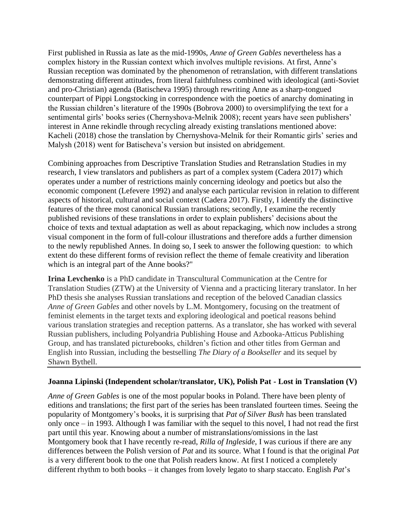First published in Russia as late as the mid-1990s, *Anne of Green Gables* nevertheless has a complex history in the Russian context which involves multiple revisions. At first, Anne's Russian reception was dominated by the phenomenon of retranslation, with different translations demonstrating different attitudes, from literal faithfulness combined with ideological (anti-Soviet and pro-Christian) agenda (Batischeva 1995) through rewriting Anne as a sharp-tongued counterpart of Pippi Longstocking in correspondence with the poetics of anarchy dominating in the Russian children's literature of the 1990s (Bobrova 2000) to oversimplifying the text for a sentimental girls' books series (Chernyshova-Melnik 2008); recent years have seen publishers' interest in Anne rekindle through recycling already existing translations mentioned above: Kacheli (2018) chose the translation by Chernyshova-Melnik for their Romantic girls' series and Malysh (2018) went for Batischeva's version but insisted on abridgement.

Combining approaches from Descriptive Translation Studies and Retranslation Studies in my research, I view translators and publishers as part of a complex system (Cadera 2017) which operates under a number of restrictions mainly concerning ideology and poetics but also the economic component (Lefevere 1992) and analyse each particular revision in relation to different aspects of historical, cultural and social context (Cadera 2017). Firstly, I identify the distinctive features of the three most canonical Russian translations; secondly, I examine the recently published revisions of these translations in order to explain publishers' decisions about the choice of texts and textual adaptation as well as about repackaging, which now includes a strong visual component in the form of full-colour illustrations and therefore adds a further dimension to the newly republished Annes. In doing so, I seek to answer the following question: to which extent do these different forms of revision reflect the theme of female creativity and liberation which is an integral part of the Anne books?"

**Irina Levchenko** is a PhD candidate in Transcultural Communication at the Centre for Translation Studies (ZTW) at the University of Vienna and a practicing literary translator. In her PhD thesis she analyses Russian translations and reception of the beloved Canadian classics *Anne of Green Gables* and other novels by L.M. Montgomery, focusing on the treatment of feminist elements in the target texts and exploring ideological and poetical reasons behind various translation strategies and reception patterns. As a translator, she has worked with several Russian publishers, including Polyandria Publishing House and Azbooka-Atticus Publishing Group, and has translated picturebooks, children's fiction and other titles from German and English into Russian, including the bestselling *The Diary of a Bookseller* and its sequel by Shawn Bythell.

#### **Joanna Lipinski (Independent scholar/translator, UK), Polish Pat - Lost in Translation (V)**

*Anne of Green Gables* is one of the most popular books in Poland. There have been plenty of editions and translations; the first part of the series has been translated fourteen times. Seeing the popularity of Montgomery's books, it is surprising that *Pat of Silver Bush* has been translated only once – in 1993. Although I was familiar with the sequel to this novel, I had not read the first part until this year. Knowing about a number of mistranslations/omissions in the last Montgomery book that I have recently re-read, *Rilla of Ingleside*, I was curious if there are any differences between the Polish version of *Pat* and its source. What I found is that the original *Pat* is a very different book to the one that Polish readers know. At first I noticed a completely different rhythm to both books – it changes from lovely legato to sharp staccato. English *Pat*'s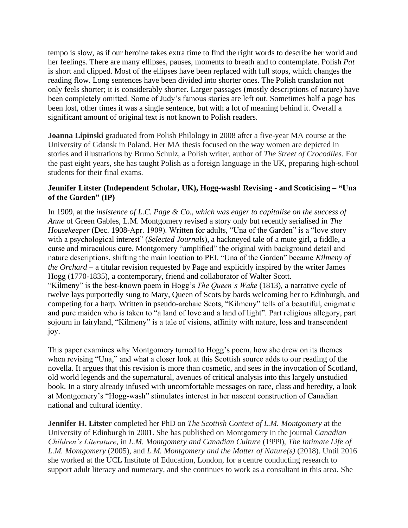tempo is slow, as if our heroine takes extra time to find the right words to describe her world and her feelings. There are many ellipses, pauses, moments to breath and to contemplate. Polish *Pat* is short and clipped. Most of the ellipses have been replaced with full stops, which changes the reading flow. Long sentences have been divided into shorter ones. The Polish translation not only feels shorter; it is considerably shorter. Larger passages (mostly descriptions of nature) have been completely omitted. Some of Judy's famous stories are left out. Sometimes half a page has been lost, other times it was a single sentence, but with a lot of meaning behind it. Overall a significant amount of original text is not known to Polish readers.

**Joanna Lipinski** graduated from Polish Philology in 2008 after a five-year MA course at the University of Gdansk in Poland. Her MA thesis focused on the way women are depicted in stories and illustrations by Bruno Schulz, a Polish writer, author of *The Street of Crocodiles*. For the past eight years, she has taught Polish as a foreign language in the UK, preparing high-school students for their final exams.

### **Jennifer Litster (Independent Scholar, UK), Hogg-wash! Revising - and Scoticising – "Una of the Garden" (IP)**

In 1909, at the *insistence of L.C. Page & Co., which was eager to capitalise on the success of Anne* of Green Gables, L.M. Montgomery revised a story only but recently serialised in *The Housekeeper* (Dec. 1908-Apr. 1909). Written for adults, "Una of the Garden" is a "love story with a psychological interest" (*Selected Journals*), a hackneyed tale of a mute girl, a fiddle, a curse and miraculous cure. Montgomery "amplified" the original with background detail and nature descriptions, shifting the main location to PEI. "Una of the Garden" became *Kilmeny of the Orchard* – a titular revision requested by Page and explicitly inspired by the writer James Hogg (1770-1835), a contemporary, friend and collaborator of Walter Scott. "Kilmeny" is the best-known poem in Hogg's *The Queen's Wake* (1813), a narrative cycle of twelve lays purportedly sung to Mary, Queen of Scots by bards welcoming her to Edinburgh, and competing for a harp. Written in pseudo-archaic Scots, "Kilmeny" tells of a beautiful, enigmatic and pure maiden who is taken to "a land of love and a land of light". Part religious allegory, part sojourn in fairyland, "Kilmeny" is a tale of visions, affinity with nature, loss and transcendent joy.

This paper examines why Montgomery turned to Hogg's poem, how she drew on its themes when revising "Una," and what a closer look at this Scottish source adds to our reading of the novella. It argues that this revision is more than cosmetic, and sees in the invocation of Scotland, old world legends and the supernatural, avenues of critical analysis into this largely unstudied book. In a story already infused with uncomfortable messages on race, class and heredity, a look at Montgomery's "Hogg-wash" stimulates interest in her nascent construction of Canadian national and cultural identity.

**Jennifer H. Litster** completed her PhD on *The Scottish Context of L.M. Montgomery* at the University of Edinburgh in 2001. She has published on Montgomery in the journal *Canadian Children's Literature*, in *L.M. Montgomery and Canadian Culture* (1999), *The Intimate Life of L.M. Montgomery* (2005), and *L.M. Montgomery and the Matter of Nature(s)* (2018). Until 2016 she worked at the UCL Institute of Education, London, for a centre conducting research to support adult literacy and numeracy, and she continues to work as a consultant in this area. She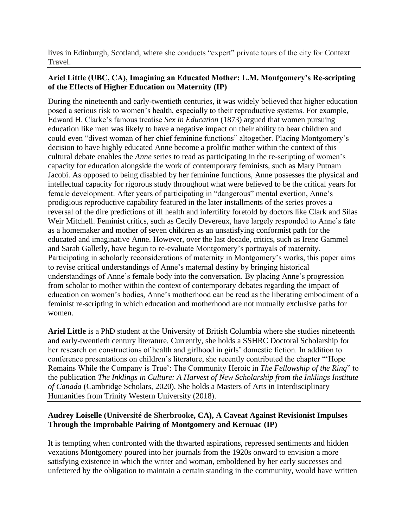lives in Edinburgh, Scotland, where she conducts "expert" private tours of the city for Context Travel.

## **Ariel Little (UBC, CA), Imagining an Educated Mother: L.M. Montgomery's Re-scripting of the Effects of Higher Education on Maternity (IP)**

During the nineteenth and early-twentieth centuries, it was widely believed that higher education posed a serious risk to women's health, especially to their reproductive systems. For example, Edward H. Clarke's famous treatise *Sex in Education* (1873) argued that women pursuing education like men was likely to have a negative impact on their ability to bear children and could even "divest woman of her chief feminine functions" altogether. Placing Montgomery's decision to have highly educated Anne become a prolific mother within the context of this cultural debate enables the *Anne* series to read as participating in the re-scripting of women's capacity for education alongside the work of contemporary feminists, such as Mary Putnam Jacobi. As opposed to being disabled by her feminine functions, Anne possesses the physical and intellectual capacity for rigorous study throughout what were believed to be the critical years for female development. After years of participating in "dangerous" mental exertion, Anne's prodigious reproductive capability featured in the later installments of the series proves a reversal of the dire predictions of ill health and infertility foretold by doctors like Clark and Silas Weir Mitchell. Feminist critics, such as Cecily Devereux, have largely responded to Anne's fate as a homemaker and mother of seven children as an unsatisfying conformist path for the educated and imaginative Anne. However, over the last decade, critics, such as Irene Gammel and Sarah Galletly, have begun to re-evaluate Montgomery's portrayals of maternity. Participating in scholarly reconsiderations of maternity in Montgomery's works, this paper aims to revise critical understandings of Anne's maternal destiny by bringing historical understandings of Anne's female body into the conversation. By placing Anne's progression from scholar to mother within the context of contemporary debates regarding the impact of education on women's bodies, Anne's motherhood can be read as the liberating embodiment of a feminist re-scripting in which education and motherhood are not mutually exclusive paths for women.

**Ariel Little** is a PhD student at the University of British Columbia where she studies nineteenth and early-twentieth century literature. Currently, she holds a SSHRC Doctoral Scholarship for her research on constructions of health and girlhood in girls' domestic fiction. In addition to conference presentations on children's literature, she recently contributed the chapter "'Hope Remains While the Company is True': The Community Heroic in *The Fellowship of the Ring*" to the publication *The Inklings in Culture: A Harvest of New Scholarship from the Inklings Institute of Canada* (Cambridge Scholars, 2020). She holds a Masters of Arts in Interdisciplinary Humanities from Trinity Western University (2018).

# **Audrey Loiselle (Université de Sherbrooke, CA), A Caveat Against Revisionist Impulses Through the Improbable Pairing of Montgomery and Kerouac (IP)**

It is tempting when confronted with the thwarted aspirations, repressed sentiments and hidden vexations Montgomery poured into her journals from the 1920s onward to envision a more satisfying existence in which the writer and woman, emboldened by her early successes and unfettered by the obligation to maintain a certain standing in the community, would have written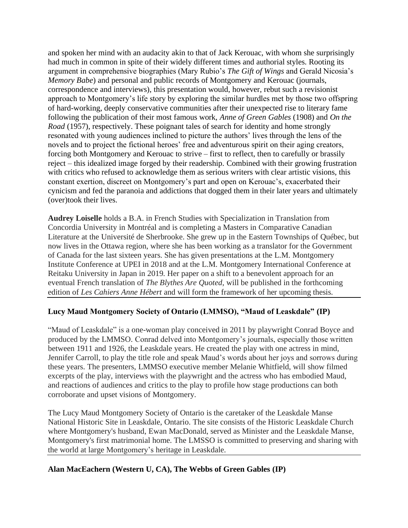and spoken her mind with an audacity akin to that of Jack Kerouac, with whom she surprisingly had much in common in spite of their widely different times and authorial styles. Rooting its argument in comprehensive biographies (Mary Rubio's *The Gift of Wings* and Gerald Nicosia's *Memory Babe*) and personal and public records of Montgomery and Kerouac (journals, correspondence and interviews), this presentation would, however, rebut such a revisionist approach to Montgomery's life story by exploring the similar hurdles met by those two offspring of hard-working, deeply conservative communities after their unexpected rise to literary fame following the publication of their most famous work, *Anne of Green Gables* (1908) and *On the Road* (1957), respectively. These poignant tales of search for identity and home strongly resonated with young audiences inclined to picture the authors' lives through the lens of the novels and to project the fictional heroes' free and adventurous spirit on their aging creators, forcing both Montgomery and Kerouac to strive – first to reflect, then to carefully or brassily reject – this idealized image forged by their readership. Combined with their growing frustration with critics who refused to acknowledge them as serious writers with clear artistic visions, this constant exertion, discreet on Montgomery's part and open on Kerouac's, exacerbated their cynicism and fed the paranoia and addictions that dogged them in their later years and ultimately (over)took their lives.

**Audrey Loiselle** holds a B.A. in French Studies with Specialization in Translation from Concordia University in Montréal and is completing a Masters in Comparative Canadian Literature at the Université de Sherbrooke. She grew up in the Eastern Townships of Québec, but now lives in the Ottawa region, where she has been working as a translator for the Government of Canada for the last sixteen years. She has given presentations at the L.M. Montgomery Institute Conference at UPEI in 2018 and at the L.M. Montgomery International Conference at Reitaku University in Japan in 2019. Her paper on a shift to a benevolent approach for an eventual French translation of *The Blythes Are Quoted*, will be published in the forthcoming edition of *Les Cahiers Anne Hébert* and will form the framework of her upcoming thesis.

# **Lucy Maud Montgomery Society of Ontario (LMMSO), "Maud of Leaskdale" (IP)**

"Maud of Leaskdale" is a one-woman play conceived in 2011 by playwright Conrad Boyce and produced by the LMMSO. Conrad delved into Montgomery's journals, especially those written between 1911 and 1926, the Leaskdale years. He created the play with one actress in mind, Jennifer Carroll, to play the title role and speak Maud's words about her joys and sorrows during these years. The presenters, LMMSO executive member Melanie Whitfield, will show filmed excerpts of the play, interviews with the playwright and the actress who has embodied Maud, and reactions of audiences and critics to the play to profile how stage productions can both corroborate and upset visions of Montgomery.

The Lucy Maud Montgomery Society of Ontario is the caretaker of the Leaskdale Manse National Historic Site in Leaskdale, Ontario. The site consists of the Historic Leaskdale Church where Montgomery's husband, Ewan MacDonald, served as Minister and the Leaskdale Manse, Montgomery's first matrimonial home. The LMSSO is committed to preserving and sharing with the world at large Montgomery's heritage in Leaskdale.

## **Alan MacEachern (Western U, CA), The Webbs of Green Gables (IP)**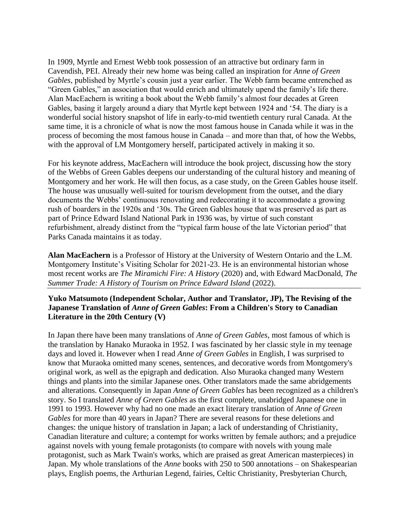In 1909, Myrtle and Ernest Webb took possession of an attractive but ordinary farm in Cavendish, PEI. Already their new home was being called an inspiration for *Anne of Green Gables*, published by Myrtle's cousin just a year earlier. The Webb farm became entrenched as "Green Gables," an association that would enrich and ultimately upend the family's life there. Alan MacEachern is writing a book about the Webb family's almost four decades at Green Gables, basing it largely around a diary that Myrtle kept between 1924 and '54. The diary is a wonderful social history snapshot of life in early-to-mid twentieth century rural Canada. At the same time, it is a chronicle of what is now the most famous house in Canada while it was in the process of becoming the most famous house in Canada – and more than that, of how the Webbs, with the approval of LM Montgomery herself, participated actively in making it so.

For his keynote address, MacEachern will introduce the book project, discussing how the story of the Webbs of Green Gables deepens our understanding of the cultural history and meaning of Montgomery and her work. He will then focus, as a case study, on the Green Gables house itself. The house was unusually well-suited for tourism development from the outset, and the diary documents the Webbs' continuous renovating and redecorating it to accommodate a growing rush of boarders in the 1920s and '30s. The Green Gables house that was preserved as part as part of Prince Edward Island National Park in 1936 was, by virtue of such constant refurbishment, already distinct from the "typical farm house of the late Victorian period" that Parks Canada maintains it as today.

**Alan MacEachern** is a Professor of History at the University of Western Ontario and the L.M. Montgomery Institute's Visiting Scholar for 2021-23. He is an environmental historian whose most recent works are *The Miramichi Fire: A History* (2020) and, with Edward MacDonald, *The Summer Trade: A History of Tourism on Prince Edward Island* (2022).

## **Yuko Matsumoto (Independent Scholar, Author and Translator, JP), The Revising of the Japanese Translation of** *Anne of Green Gables***: From a Children's Story to Canadian Literature in the 20th Century (V)**

In Japan there have been many translations of *Anne of Green Gables*, most famous of which is the translation by Hanako Muraoka in 1952. I was fascinated by her classic style in my teenage days and loved it. However when I read *Anne of Green Gables* in English, I was surprised to know that Muraoka omitted many scenes, sentences, and decorative words from Montgomery's original work, as well as the epigraph and dedication. Also Muraoka changed many Western things and plants into the similar Japanese ones. Other translators made the same abridgements and alterations. Consequently in Japan *Anne of Green Gables* has been recognized as a children's story. So I translated *Anne of Green Gables* as the first complete, unabridged Japanese one in 1991 to 1993. However why had no one made an exact literary translation of *Anne of Green Gables* for more than 40 years in Japan? There are several reasons for these deletions and changes: the unique history of translation in Japan; a lack of understanding of Christianity, Canadian literature and culture; a contempt for works written by female authors; and a prejudice against novels with young female protagonists (to compare with novels with young male protagonist, such as Mark Twain's works, which are praised as great American masterpieces) in Japan. My whole translations of the *Anne* books with 250 to 500 annotations – on Shakespearian plays, English poems, the Arthurian Legend, fairies, Celtic Christianity, Presbyterian Church,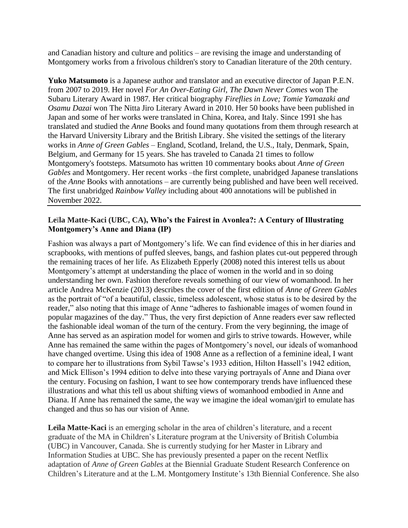and Canadian history and culture and politics – are revising the image and understanding of Montgomery works from a frivolous children's story to Canadian literature of the 20th century.

**Yuko Matsumoto** is a Japanese author and translator and an executive director of Japan P.E.N. from 2007 to 2019. Her novel *For An Over-Eating Girl, The Dawn Never Comes* won The Subaru Literary Award in 1987. Her critical biography *Fireflies in Love; Tomie Yamazaki and Osamu Dazai* won The Nitta Jiro Literary Award in 2010. Her 50 books have been published in Japan and some of her works were translated in China, Korea, and Italy. Since 1991 she has translated and studied the *Anne* Books and found many quotations from them through research at the Harvard University Library and the British Library. She visited the settings of the literary works in *Anne of Green Gables* – England, Scotland, Ireland, the U.S., Italy, Denmark, Spain, Belgium, and Germany for 15 years. She has traveled to Canada 21 times to follow Montgomery's footsteps. Matsumoto has written 10 commentary books about *Anne of Green Gables* and Montgomery. Her recent works –the first complete, unabridged Japanese translations of the *Anne* Books with annotations – are currently being published and have been well received. The first unabridged *Rainbow Valley* including about 400 annotations will be published in November 2022.

### **Le**ï**la Matte-Kaci (UBC, CA), Who's the Fairest in Avonlea?: A Century of Illustrating Montgomery's Anne and Diana (IP)**

Fashion was always a part of Montgomery's life. We can find evidence of this in her diaries and scrapbooks, with mentions of puffed sleeves, bangs, and fashion plates cut-out peppered through the remaining traces of her life. As Elizabeth Epperly (2008) noted this interest tells us about Montgomery's attempt at understanding the place of women in the world and in so doing understanding her own. Fashion therefore reveals something of our view of womanhood. In her article Andrea McKenzie (2013) describes the cover of the first edition of *Anne of Green Gables* as the portrait of "of a beautiful, classic, timeless adolescent, whose status is to be desired by the reader," also noting that this image of Anne "adheres to fashionable images of women found in popular magazines of the day." Thus, the very first depiction of Anne readers ever saw reflected the fashionable ideal woman of the turn of the century. From the very beginning, the image of Anne has served as an aspiration model for women and girls to strive towards. However, while Anne has remained the same within the pages of Montgomery's novel, our ideals of womanhood have changed overtime. Using this idea of 1908 Anne as a reflection of a feminine ideal, I want to compare her to illustrations from Sybil Tawse's 1933 edition, Hilton Hassell's 1942 edition, and Mick Ellison's 1994 edition to delve into these varying portrayals of Anne and Diana over the century. Focusing on fashion, I want to see how contemporary trends have influenced these illustrations and what this tell us about shifting views of womanhood embodied in Anne and Diana. If Anne has remained the same, the way we imagine the ideal woman/girl to emulate has changed and thus so has our vision of Anne.

Leila Matte-Kaci is an emerging scholar in the area of children's literature, and a recent graduate of the MA in Children's Literature program at the University of British Columbia (UBC) in Vancouver, Canada. She is currently studying for her Master in Library and Information Studies at UBC. She has previously presented a paper on the recent Netflix adaptation of *Anne of Green Gables* at the Biennial Graduate Student Research Conference on Children's Literature and at the L.M. Montgomery Institute's 13th Biennial Conference. She also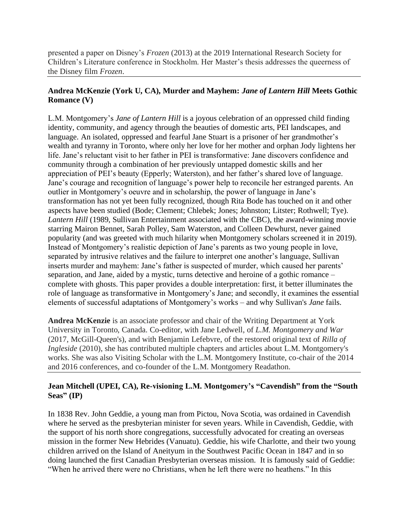presented a paper on Disney's *Frozen* (2013) at the 2019 International Research Society for Children's Literature conference in Stockholm. Her Master's thesis addresses the queerness of the Disney film *Frozen*.

## **Andrea McKenzie (York U, CA), Murder and Mayhem:** *Jane of Lantern Hill* **Meets Gothic Romance (V)**

L.M. Montgomery's *Jane of Lantern Hill* is a joyous celebration of an oppressed child finding identity, community, and agency through the beauties of domestic arts, PEI landscapes, and language. An isolated, oppressed and fearful Jane Stuart is a prisoner of her grandmother's wealth and tyranny in Toronto, where only her love for her mother and orphan Jody lightens her life. Jane's reluctant visit to her father in PEI is transformative: Jane discovers confidence and community through a combination of her previously untapped domestic skills and her appreciation of PEI's beauty (Epperly; Waterston), and her father's shared love of language. Jane's courage and recognition of language's power help to reconcile her estranged parents. An outlier in Montgomery's oeuvre and in scholarship, the power of language in Jane's transformation has not yet been fully recognized, though Rita Bode has touched on it and other aspects have been studied (Bode; Clement; Chlebek; Jones; Johnston; Litster; Rothwell; Tye). *Lantern Hill* (1989, Sullivan Entertainment associated with the CBC), the award-winning movie starring Mairon Bennet, Sarah Polley, Sam Waterston, and Colleen Dewhurst, never gained popularity (and was greeted with much hilarity when Montgomery scholars screened it in 2019). Instead of Montgomery's realistic depiction of Jane's parents as two young people in love, separated by intrusive relatives and the failure to interpret one another's language, Sullivan inserts murder and mayhem: Jane's father is suspected of murder, which caused her parents' separation, and Jane, aided by a mystic, turns detective and heroine of a gothic romance – complete with ghosts. This paper provides a double interpretation: first, it better illuminates the role of language as transformative in Montgomery's Jane; and secondly, it examines the essential elements of successful adaptations of Montgomery's works – and why Sullivan's *Jane* fails.

**Andrea McKenzie** is an associate professor and chair of the Writing Department at York University in Toronto, Canada. Co-editor, with Jane Ledwell, of *L.M. Montgomery and War* (2017, McGill-Queen's), and with Benjamin Lefebvre, of the restored original text of *Rilla of Ingleside* (2010), she has contributed multiple chapters and articles about L.M. Montgomery's works. She was also Visiting Scholar with the L.M. Montgomery Institute, co-chair of the 2014 and 2016 conferences, and co-founder of the L.M. Montgomery Readathon.

## **Jean Mitchell (UPEI, CA), Re-visioning L.M. Montgomery's "Cavendish" from the "South Seas" (IP)**

In 1838 Rev. John Geddie, a young man from Pictou, Nova Scotia, was ordained in Cavendish where he served as the presbyterian minister for seven years. While in Cavendish, Geddie, with the support of his north shore congregations, successfully advocated for creating an overseas mission in the former New Hebrides (Vanuatu). Geddie, his wife Charlotte, and their two young children arrived on the Island of Aneityum in the Southwest Pacific Ocean in 1847 and in so doing launched the first Canadian Presbyterian overseas mission. It is famously said of Geddie: "When he arrived there were no Christians, when he left there were no heathens." In this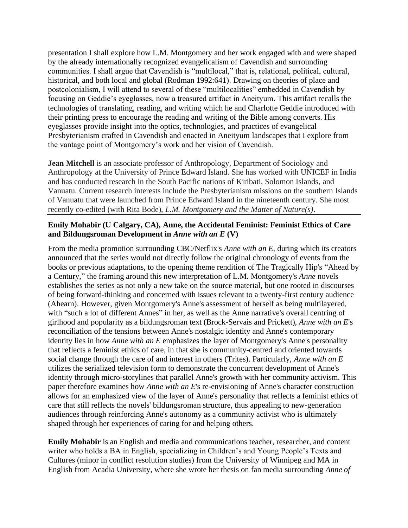presentation I shall explore how L.M. Montgomery and her work engaged with and were shaped by the already internationally recognized evangelicalism of Cavendish and surrounding communities. I shall argue that Cavendish is "multilocal," that is, relational, political, cultural, historical, and both local and global (Rodman 1992:641). Drawing on theories of place and postcolonialism, I will attend to several of these "multilocalities" embedded in Cavendish by focusing on Geddie's eyeglasses, now a treasured artifact in Aneityum. This artifact recalls the technologies of translating, reading, and writing which he and Charlotte Geddie introduced with their printing press to encourage the reading and writing of the Bible among converts. His eyeglasses provide insight into the optics, technologies, and practices of evangelical Presbyterianism crafted in Cavendish and enacted in Aneityum landscapes that I explore from the vantage point of Montgomery's work and her vision of Cavendish.

**Jean Mitchell** is an associate professor of Anthropology, Department of Sociology and Anthropology at the University of Prince Edward Island. She has worked with UNICEF in India and has conducted research in the South Pacific nations of Kiribati, Solomon Islands, and Vanuatu. Current research interests include the Presbyterianism missions on the southern Islands of Vanuatu that were launched from Prince Edward Island in the nineteenth century. She most recently co-edited (with Rita Bode), *L.M. Montgomery and the Matter of Nature(s)*.

## **Emily Mohabir (U Calgary, CA), Anne, the Accidental Feminist: Feminist Ethics of Care and Bildungsroman Development in** *Anne with an E* **(V)**

From the media promotion surrounding CBC/Netflix's *Anne with an E*, during which its creators announced that the series would not directly follow the original chronology of events from the books or previous adaptations, to the opening theme rendition of The Tragically Hip's "Ahead by a Century," the framing around this new interpretation of L.M. Montgomery's *Anne* novels establishes the series as not only a new take on the source material, but one rooted in discourses of being forward-thinking and concerned with issues relevant to a twenty-first century audience (Ahearn). However, given Montgomery's Anne's assessment of herself as being multilayered, with "such a lot of different Annes" in her, as well as the Anne narrative's overall centring of girlhood and popularity as a bildungsroman text (Brock-Servais and Prickett), *Anne with an E*'s reconciliation of the tensions between Anne's nostalgic identity and Anne's contemporary identity lies in how *Anne with an E* emphasizes the layer of Montgomery's Anne's personality that reflects a feminist ethics of care, in that she is community-centred and oriented towards social change through the care of and interest in others (Trites). Particularly, *Anne with an E* utilizes the serialized television form to demonstrate the concurrent development of Anne's identity through micro-storylines that parallel Anne's growth with her community activism. This paper therefore examines how *Anne with an E*'s re-envisioning of Anne's character construction allows for an emphasized view of the layer of Anne's personality that reflects a feminist ethics of care that still reflects the novels' bildungsroman structure, thus appealing to new-generation audiences through reinforcing Anne's autonomy as a community activist who is ultimately shaped through her experiences of caring for and helping others.

**Emily Mohabir** is an English and media and communications teacher, researcher, and content writer who holds a BA in English, specializing in Children's and Young People's Texts and Cultures (minor in conflict resolution studies) from the University of Winnipeg and MA in English from Acadia University, where she wrote her thesis on fan media surrounding *Anne of*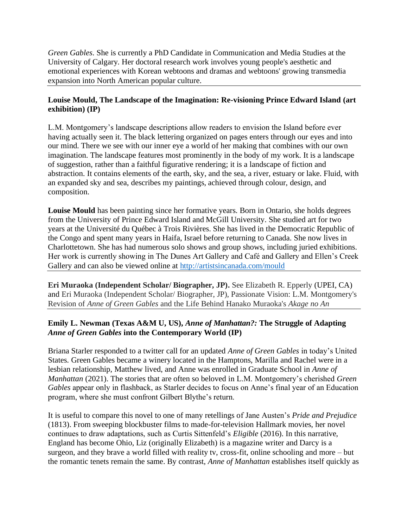*Green Gables*. She is currently a PhD Candidate in Communication and Media Studies at the University of Calgary. Her doctoral research work involves young people's aesthetic and emotional experiences with Korean webtoons and dramas and webtoons' growing transmedia expansion into North American popular culture.

## **Louise Mould, The Landscape of the Imagination: Re-visioning Prince Edward Island (art exhibition) (IP)**

L.M. Montgomery's landscape descriptions allow readers to envision the Island before ever having actually seen it. The black lettering organized on pages enters through our eyes and into our mind. There we see with our inner eye a world of her making that combines with our own imagination. The landscape features most prominently in the body of my work. It is a landscape of suggestion, rather than a faithful figurative rendering; it is a landscape of fiction and abstraction. It contains elements of the earth, sky, and the sea, a river, estuary or lake. Fluid, with an expanded sky and sea, describes my paintings, achieved through colour, design, and composition.

**Louise Mould** has been painting since her formative years. Born in Ontario, she holds degrees from the University of Prince Edward Island and McGill University. She studied art for two years at the Université du Québec à Trois Rivières. She has lived in the Democratic Republic of the Congo and spent many years in Haifa, Israel before returning to Canada. She now lives in Charlottetown. She has had numerous solo shows and group shows, including juried exhibitions. Her work is currently showing in The Dunes Art Gallery and Café and Gallery and Ellen's Creek Gallery and can also be viewed online at<http://artistsincanada.com/mould>

**Eri Muraoka (Independent Scholar/ Biographer, JP).** See Elizabeth R. Epperly (UPEI, CA) and Eri Muraoka (Independent Scholar/ Biographer, JP), Passionate Vision: L.M. Montgomery's Revision of *Anne of Green Gables* and the Life Behind Hanako Muraoka's *Akage no An*

# **Emily L. Newman (Texas A&M U, US),** *Anne of Manhattan?:* **The Struggle of Adapting**  *Anne of Green Gables* **into the Contemporary World (IP)**

Briana Starler responded to a twitter call for an updated *Anne of Green Gables* in today's United States. Green Gables became a winery located in the Hamptons, Marilla and Rachel were in a lesbian relationship, Matthew lived, and Anne was enrolled in Graduate School in *Anne of Manhattan* (2021). The stories that are often so beloved in L.M. Montgomery's cherished *Green Gables* appear only in flashback, as Starler decides to focus on Anne's final year of an Education program, where she must confront Gilbert Blythe's return.

It is useful to compare this novel to one of many retellings of Jane Austen's *Pride and Prejudice* (1813). From sweeping blockbuster films to made-for-television Hallmark movies, her novel continues to draw adaptations, such as Curtis Sittenfeld's *Eligible* (2016). In this narrative, England has become Ohio, Liz (originally Elizabeth) is a magazine writer and Darcy is a surgeon, and they brave a world filled with reality tv, cross-fit, online schooling and more – but the romantic tenets remain the same. By contrast, *Anne of Manhattan* establishes itself quickly as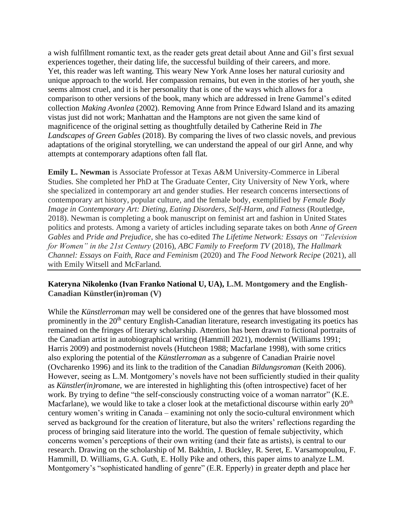a wish fulfillment romantic text, as the reader gets great detail about Anne and Gil's first sexual experiences together, their dating life, the successful building of their careers, and more. Yet, this reader was left wanting. This weary New York Anne loses her natural curiosity and unique approach to the world. Her compassion remains, but even in the stories of her youth, she seems almost cruel, and it is her personality that is one of the ways which allows for a comparison to other versions of the book, many which are addressed in Irene Gammel's edited collection *Making Avonlea* (2002). Removing Anne from Prince Edward Island and its amazing vistas just did not work; Manhattan and the Hamptons are not given the same kind of magnificence of the original setting as thoughtfully detailed by Catherine Reid in *The Landscapes of Green Gables* (2018). By comparing the lives of two classic novels, and previous adaptations of the original storytelling, we can understand the appeal of our girl Anne, and why attempts at contemporary adaptions often fall flat.

**Emily L. Newman** is Associate Professor at Texas A&M University-Commerce in Liberal Studies. She completed her PhD at The Graduate Center, City University of New York, where she specialized in contemporary art and gender studies. Her research concerns intersections of contemporary art history, popular culture, and the female body, exemplified by *Female Body Image in Contemporary Art: Dieting, Eating Disorders, Self-Harm, and Fatness* (Routledge, 2018). Newman is completing a book manuscript on feminist art and fashion in United States politics and protests. Among a variety of articles including separate takes on both *Anne of Green Gables* and *Pride and Prejudice*, she has co-edited *The Lifetime Network: Essays on "Television for Women" in the 21st Century* (2016), *ABC Family to Freeform TV* (2018), *The Hallmark Channel: Essays on Faith, Race and Feminism* (2020) and *The Food Network Recipe* (2021), all with Emily Witsell and McFarland.

#### **Kateryna Nikolenko (Ivan Franko National U, UA), L.M. Montgomery and the English-Canadian Künstler(in)roman (V)**

While the *Künstlerroman* may well be considered one of the genres that have blossomed most prominently in the 20<sup>th</sup> century English-Canadian literature, research investigating its poetics has remained on the fringes of literary scholarship. Attention has been drawn to fictional portraits of the Canadian artist in autobiographical writing (Hammill 2021), modernist (Williams 1991; Harris 2009) and postmodernist novels (Hutcheon 1988; Macfarlane 1998), with some critics also exploring the potential of the *Künstlerroman* as a subgenre of Canadian Prairie novel (Ovcharenko 1996) and its link to the tradition of the Canadian *Bildungsroman* (Keith 2006). However, seeing as L.M. Montgomery's novels have not been sufficiently studied in their quality as *Künstler(in)romane*, we are interested in highlighting this (often introspective) facet of her work. By trying to define "the self-consciously constructing voice of a woman narrator" (K.E. Macfarlane), we would like to take a closer look at the metafictional discourse within early  $20<sup>th</sup>$ century women's writing in Canada – examining not only the socio-cultural environment which served as background for the creation of literature, but also the writers' reflections regarding the process of bringing said literature into the world. The question of female subjectivity, which concerns women's perceptions of their own writing (and their fate as artists), is central to our research. Drawing on the scholarship of M. Bakhtin, J. Buckley, R. Seret, E. Varsamopoulou, F. Hammill, D. Williams, G.A. Guth, E. Holly Pike and others, this paper aims to analyze L.M. Montgomery's "sophisticated handling of genre" (E.R. Epperly) in greater depth and place her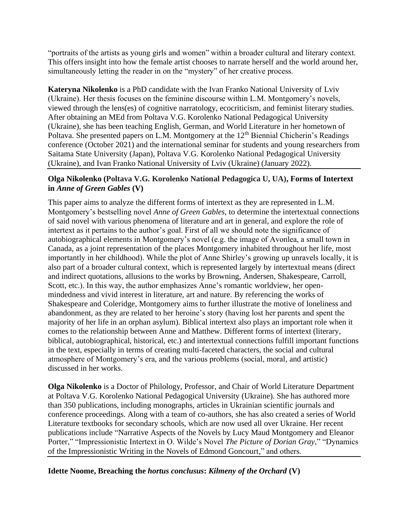"portraits of the artists as young girls and women" within a broader cultural and literary context. This offers insight into how the female artist chooses to narrate herself and the world around her, simultaneously letting the reader in on the "mystery" of her creative process.

**Kateryna Nikolenko** is a PhD candidate with the Ivan Franko National University of Lviv (Ukraine). Her thesis focuses on the feminine discourse within L.M. Montgomery's novels, viewed through the lens(es) of cognitive narratology, ecocriticism, and feminist literary studies. After obtaining an MEd from Poltava V.G. Korolenko National Pedagogical University (Ukraine), she has been teaching English, German, and World Literature in her hometown of Poltava. She presented papers on L.M. Montgomery at the  $12<sup>th</sup>$  Biennial Chicherin's Readings conference (October 2021) and the international seminar for students and young researchers from Saitama State University (Japan), Poltava V.G. Korolenko National Pedagogical University (Ukraine), and Ivan Franko National University of Lviv (Ukraine) (January 2022).

## **Olga Nikolenko (Poltava V.G. Korolenko National Pedagogica U, UA), Forms of Intertext in** *Anne of Green Gables* **(V)**

This paper aims to analyze the different forms of intertext as they are represented in L.M. Montgomery's bestselling novel *Anne of Green Gables*, to determine the intertextual connections of said novel with various phenomena of literature and art in general, and explore the role of intertext as it pertains to the author's goal. First of all we should note the significance of autobiographical elements in Montgomery's novel (e.g. the image of Avonlea, a small town in Canada, as a joint representation of the places Montgomery inhabited throughout her life, most importantly in her childhood). While the plot of Anne Shirley's growing up unravels locally, it is also part of a broader cultural context, which is represented largely by intertextual means (direct and indirect quotations, allusions to the works by Browning, Andersen, Shakespeare, Carroll, Scott, etc.). In this way, the author emphasizes Anne's romantic worldview, her openmindedness and vivid interest in literature, art and nature. By referencing the works of Shakespeare and Coleridge, Montgomery aims to further illustrate the motive of loneliness and abandonment, as they are related to her heroine's story (having lost her parents and spent the majority of her life in an orphan asylum). Biblical intertext also plays an important role when it comes to the relationship between Anne and Matthew. Different forms of intertext (literary, biblical, autobiographical, historical, etc.) and intertextual connections fulfill important functions in the text, especially in terms of creating multi-faceted characters, the social and cultural atmosphere of Montgomery's era, and the various problems (social, moral, and artistic) discussed in her works.

**Olga Nikolenko** is a Doctor of Philology, Professor, and Chair of World Literature Department at Poltava V.G. Korolenko National Pedagogical University (Ukraine). She has authored more than 350 publications, including monographs, articles in Ukrainian scientific journals and conference proceedings. Along with a team of co-authors, she has also created a series of World Literature textbooks for secondary schools, which are now used all over Ukraine. Her recent publications include "Narrative Aspects of the Novels by Lucy Maud Montgomery and Eleanor Porter," "Impressionistic Intertext in O. Wilde's Novel *The Picture of Dorian Gray*," "Dynamics of the Impressionistic Writing in the Novels of Edmond Goncourt," and others.

**Idette Noome, Breaching the** *hortus conclusus***:** *Kilmeny of the Orchard* **(V)**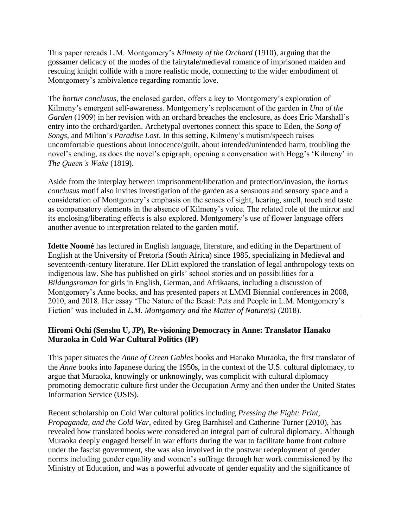This paper rereads L.M. Montgomery's *Kilmeny of the Orchard* (1910), arguing that the gossamer delicacy of the modes of the fairytale/medieval romance of imprisoned maiden and rescuing knight collide with a more realistic mode, connecting to the wider embodiment of Montgomery's ambivalence regarding romantic love.

The *hortus conclusus*, the enclosed garden, offers a key to Montgomery's exploration of Kilmeny's emergent self-awareness. Montgomery's replacement of the garden in *Una of the Garden* (1909) in her revision with an orchard breaches the enclosure, as does Eric Marshall's entry into the orchard/garden. Archetypal overtones connect this space to Eden, the *Song of Songs*, and Milton's *Paradise Lost*. In this setting, Kilmeny's mutism/speech raises uncomfortable questions about innocence/guilt, about intended/unintended harm, troubling the novel's ending, as does the novel's epigraph, opening a conversation with Hogg's 'Kilmeny' in *The Queen's Wake* (1819).

Aside from the interplay between imprisonment/liberation and protection/invasion, the *hortus conclusus* motif also invites investigation of the garden as a sensuous and sensory space and a consideration of Montgomery's emphasis on the senses of sight, hearing, smell, touch and taste as compensatory elements in the absence of Kilmeny's voice. The related role of the mirror and its enclosing/liberating effects is also explored. Montgomery's use of flower language offers another avenue to interpretation related to the garden motif.

**Idette Noomé** has lectured in English language, literature, and editing in the Department of English at the University of Pretoria (South Africa) since 1985, specializing in Medieval and seventeenth-century literature. Her DLitt explored the translation of legal anthropology texts on indigenous law. She has published on girls' school stories and on possibilities for a *Bildungsroman* for girls in English, German, and Afrikaans, including a discussion of Montgomery's Anne books, and has presented papers at LMMI Biennial conferences in 2008, 2010, and 2018. Her essay 'The Nature of the Beast: Pets and People in L.M. Montgomery's Fiction' was included in *L.M. Montgomery and the Matter of Nature(s)* (2018).

# **Hiromi Ochi (Senshu U, JP), Re-visioning Democracy in Anne: Translator Hanako Muraoka in Cold War Cultural Politics (IP)**

This paper situates the *Anne of Green Gables* books and Hanako Muraoka, the first translator of the *Anne* books into Japanese during the 1950s, in the context of the U.S. cultural diplomacy, to argue that Muraoka, knowingly or unknowingly, was complicit with cultural diplomacy promoting democratic culture first under the Occupation Army and then under the United States Information Service (USIS).

Recent scholarship on Cold War cultural politics including *Pressing the Fight: Print, Propaganda, and the Cold War*, edited by Greg Barnhisel and Catherine Turner (2010), has revealed how translated books were considered an integral part of cultural diplomacy. Although Muraoka deeply engaged herself in war efforts during the war to facilitate home front culture under the fascist government, she was also involved in the postwar redeployment of gender norms including gender equality and women's suffrage through her work commissioned by the Ministry of Education, and was a powerful advocate of gender equality and the significance of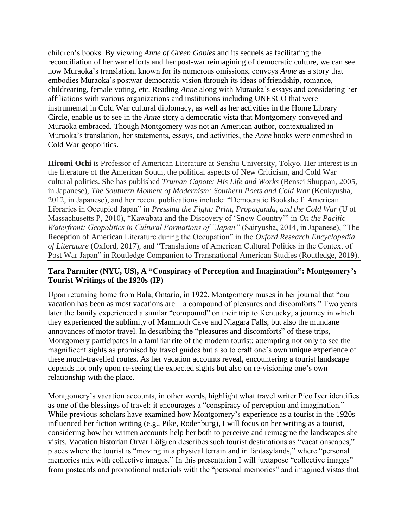children's books. By viewing *Anne of Green Gables* and its sequels as facilitating the reconciliation of her war efforts and her post-war reimagining of democratic culture, we can see how Muraoka's translation, known for its numerous omissions, conveys *Anne* as a story that embodies Muraoka's postwar democratic vision through its ideas of friendship, romance, childrearing, female voting, etc. Reading *Anne* along with Muraoka's essays and considering her affiliations with various organizations and institutions including UNESCO that were instrumental in Cold War cultural diplomacy, as well as her activities in the Home Library Circle, enable us to see in the *Anne* story a democratic vista that Montgomery conveyed and Muraoka embraced. Though Montgomery was not an American author, contextualized in Muraoka's translation, her statements, essays, and activities, the *Anne* books were enmeshed in Cold War geopolitics.

**Hiromi Ochi** is Professor of American Literature at Senshu University, Tokyo. Her interest is in the literature of the American South, the political aspects of New Criticism, and Cold War cultural politics. She has published *Truman Capote: His Life and Works* (Bensei Shuppan, 2005, in Japanese), *The Southern Moment of Modernism: Southern Poets and Cold War* (Kenkyusha, 2012, in Japanese), and her recent publications include: "Democratic Bookshelf: American Libraries in Occupied Japan" in *Pressing the Fight: Print, Propaganda, and the Cold War* (U of Massachusetts P, 2010), "Kawabata and the Discovery of 'Snow Country'" in *On the Pacific Waterfront: Geopolitics in Cultural Formations of "Japan"* (Sairyusha, 2014, in Japanese), "The Reception of American Literature during the Occupation" in the *Oxford Research Encyclopedia of Literature* (Oxford, 2017), and "Translations of American Cultural Politics in the Context of Post War Japan" in Routledge Companion to Transnational American Studies (Routledge, 2019).

#### **Tara Parmiter (NYU, US), A "Conspiracy of Perception and Imagination": Montgomery's Tourist Writings of the 1920s (IP)**

Upon returning home from Bala, Ontario, in 1922, Montgomery muses in her journal that "our vacation has been as most vacations are – a compound of pleasures and discomforts." Two years later the family experienced a similar "compound" on their trip to Kentucky, a journey in which they experienced the sublimity of Mammoth Cave and Niagara Falls, but also the mundane annoyances of motor travel. In describing the "pleasures and discomforts" of these trips, Montgomery participates in a familiar rite of the modern tourist: attempting not only to see the magnificent sights as promised by travel guides but also to craft one's own unique experience of these much-travelled routes. As her vacation accounts reveal, encountering a tourist landscape depends not only upon re-seeing the expected sights but also on re-visioning one's own relationship with the place.

Montgomery's vacation accounts, in other words, highlight what travel writer Pico Iyer identifies as one of the blessings of travel: it encourages a "conspiracy of perception and imagination." While previous scholars have examined how Montgomery's experience as a tourist in the 1920s influenced her fiction writing (e.g., Pike, Rodenburg), I will focus on her writing as a tourist, considering how her written accounts help her both to perceive and reimagine the landscapes she visits. Vacation historian Orvar Löfgren describes such tourist destinations as "vacationscapes," places where the tourist is "moving in a physical terrain and in fantasylands," where "personal memories mix with collective images." In this presentation I will juxtapose "collective images" from postcards and promotional materials with the "personal memories" and imagined vistas that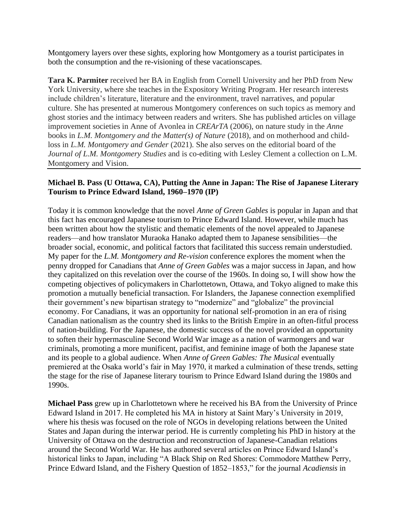Montgomery layers over these sights, exploring how Montgomery as a tourist participates in both the consumption and the re-visioning of these vacationscapes.

**Tara K. Parmiter** received her BA in English from Cornell University and her PhD from New York University, where she teaches in the Expository Writing Program. Her research interests include children's literature, literature and the environment, travel narratives, and popular culture. She has presented at numerous Montgomery conferences on such topics as memory and ghost stories and the intimacy between readers and writers. She has published articles on village improvement societies in Anne of Avonlea in *CREArTA* (2006), on nature study in the *Anne* books in *L.M. Montgomery and the Matter(s) of Nature* (2018), and on motherhood and childloss in *L.M. Montgomery and Gender* (2021). She also serves on the editorial board of the *Journal of L.M. Montgomery Studies* and is co-editing with Lesley Clement a collection on L.M. Montgomery and Vision.

#### **Michael B. Pass (U Ottawa, CA), Putting the Anne in Japan: The Rise of Japanese Literary Tourism to Prince Edward Island, 1960–1970 (IP)**

Today it is common knowledge that the novel *Anne of Green Gables* is popular in Japan and that this fact has encouraged Japanese tourism to Prince Edward Island. However, while much has been written about how the stylistic and thematic elements of the novel appealed to Japanese readers—and how translator Muraoka Hanako adapted them to Japanese sensibilities—the broader social, economic, and political factors that facilitated this success remain understudied. My paper for the *L.M. Montgomery and Re-vision* conference explores the moment when the penny dropped for Canadians that *Anne of Green Gables* was a major success in Japan, and how they capitalized on this revelation over the course of the 1960s. In doing so, I will show how the competing objectives of policymakers in Charlottetown, Ottawa, and Tokyo aligned to make this promotion a mutually beneficial transaction. For Islanders, the Japanese connection exemplified their government's new bipartisan strategy to "modernize" and "globalize" the provincial economy. For Canadians, it was an opportunity for national self-promotion in an era of rising Canadian nationalism as the country shed its links to the British Empire in an often-fitful process of nation-building. For the Japanese, the domestic success of the novel provided an opportunity to soften their hypermasculine Second World War image as a nation of warmongers and war criminals, promoting a more munificent, pacifist, and feminine image of both the Japanese state and its people to a global audience. When *Anne of Green Gables: The Musical* eventually premiered at the Osaka world's fair in May 1970, it marked a culmination of these trends, setting the stage for the rise of Japanese literary tourism to Prince Edward Island during the 1980s and 1990s.

**Michael Pass** grew up in Charlottetown where he received his BA from the University of Prince Edward Island in 2017. He completed his MA in history at Saint Mary's University in 2019, where his thesis was focused on the role of NGOs in developing relations between the United States and Japan during the interwar period. He is currently completing his PhD in history at the University of Ottawa on the destruction and reconstruction of Japanese-Canadian relations around the Second World War. He has authored several articles on Prince Edward Island's historical links to Japan, including "A Black Ship on Red Shores: Commodore Matthew Perry, Prince Edward Island, and the Fishery Question of 1852–1853," for the journal *Acadiensis* in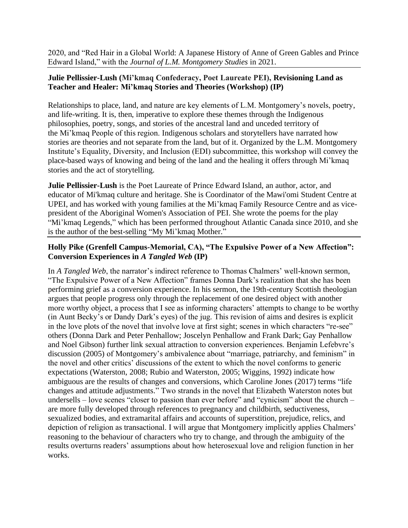2020, and "Red Hair in a Global World: A Japanese History of Anne of Green Gables and Prince Edward Island," with the *Journal of L.M. Montgomery Studies* in 2021.

## **Julie Pellissier-Lush (Mi'kmaq Confederacy, Poet Laureate PEI), Revisioning Land as Teacher and Healer: Mi'kmaq Stories and Theories (Workshop) (IP)**

Relationships to place, land, and nature are key elements of L.M. Montgomery's novels, poetry, and life-writing. It is, then, imperative to explore these themes through the Indigenous philosophies, poetry, songs, and stories of the ancestral land and unceded territory of the Mi'kmaq People of this region. Indigenous scholars and storytellers have narrated how stories are theories and not separate from the land, but of it. Organized by the L.M. Montgomery Institute's Equality, Diversity, and Inclusion (EDI) subcommittee, this workshop will convey the place-based ways of knowing and being of the land and the healing it offers through Mi'kmaq stories and the act of storytelling.

**Julie Pellissier-Lush** is the Poet Laureate of Prince Edward Island, an author, actor, and educator of Mi'kmaq culture and heritage. She is Coordinator of the Mawi'omi Student Centre at UPEI, and has worked with young families at the Mi'kmaq Family Resource Centre and as vicepresident of the Aboriginal Women's Association of PEI. She wrote the poems for the play "Mi'kmaq Legends," which has been performed throughout Atlantic Canada since 2010, and she is the author of the best-selling "My Mi'kmaq Mother."

# **Holly Pike (Grenfell Campus-Memorial, CA), "The Expulsive Power of a New Affection": Conversion Experiences in** *A Tangled Web* **(IP)**

In *A Tangled Web*, the narrator's indirect reference to Thomas Chalmers' well-known sermon, "The Expulsive Power of a New Affection" frames Donna Dark's realization that she has been performing grief as a conversion experience. In his sermon, the 19th-century Scottish theologian argues that people progress only through the replacement of one desired object with another more worthy object, a process that I see as informing characters' attempts to change to be worthy (in Aunt Becky's or Dandy Dark's eyes) of the jug. This revision of aims and desires is explicit in the love plots of the novel that involve love at first sight; scenes in which characters "re-see" others (Donna Dark and Peter Penhallow; Joscelyn Penhallow and Frank Dark; Gay Penhallow and Noel Gibson) further link sexual attraction to conversion experiences. Benjamin Lefebvre's discussion (2005) of Montgomery's ambivalence about "marriage, patriarchy, and feminism" in the novel and other critics' discussions of the extent to which the novel conforms to generic expectations (Waterston, 2008; Rubio and Waterston, 2005; Wiggins, 1992) indicate how ambiguous are the results of changes and conversions, which Caroline Jones (2017) terms "life changes and attitude adjustments." Two strands in the novel that Elizabeth Waterston notes but undersells – love scenes "closer to passion than ever before" and "cynicism" about the church – are more fully developed through references to pregnancy and childbirth, seductiveness, sexualized bodies, and extramarital affairs and accounts of superstition, prejudice, relics, and depiction of religion as transactional. I will argue that Montgomery implicitly applies Chalmers' reasoning to the behaviour of characters who try to change, and through the ambiguity of the results overturns readers' assumptions about how heterosexual love and religion function in her works.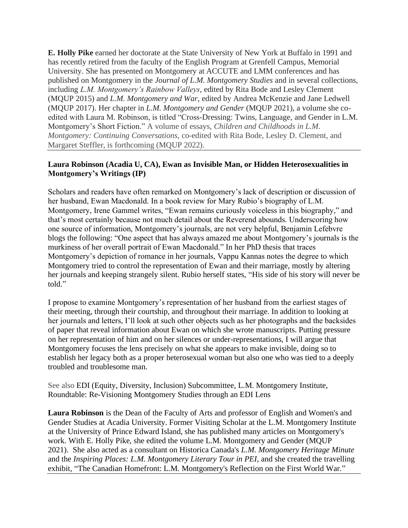**E. Holly Pike** earned her doctorate at the State University of New York at Buffalo in 1991 and has recently retired from the faculty of the English Program at Grenfell Campus, Memorial University. She has presented on Montgomery at ACCUTE and LMM conferences and has published on Montgomery in the *Journal of L.M. Montgomery Studies* and in several collections, including *L.M. Montgomery's Rainbow Valleys*, edited by Rita Bode and Lesley Clement (MQUP 2015) and *L.M. Montgomery and War*, edited by Andrea McKenzie and Jane Ledwell (MQUP 2017). Her chapter in *L.M. Montgomery and Gender* (MQUP 2021), a volume she coedited with Laura M. Robinson, is titled "Cross-Dressing: Twins, Language, and Gender in L.M. Montgomery's Short Fiction." A volume of essays, *Children and Childhoods in L.M. Montgomery: Continuing Conversations*, co-edited with Rita Bode, Lesley D. Clement, and Margaret Steffler, is forthcoming (MQUP 2022).

#### **Laura Robinson (Acadia U, CA), Ewan as Invisible Man, or Hidden Heterosexualities in Montgomery's Writings (IP)**

Scholars and readers have often remarked on Montgomery's lack of description or discussion of her husband, Ewan Macdonald. In a book review for Mary Rubio's biography of L.M. Montgomery, Irene Gammel writes, "Ewan remains curiously voiceless in this biography," and that's most certainly because not much detail about the Reverend abounds. Underscoring how one source of information, Montgomery's journals, are not very helpful, Benjamin Lefebvre blogs the following: "One aspect that has always amazed me about Montgomery's journals is the murkiness of her overall portrait of Ewan Macdonald." In her PhD thesis that traces Montgomery's depiction of romance in her journals, Vappu Kannas notes the degree to which Montgomery tried to control the representation of Ewan and their marriage, mostly by altering her journals and keeping strangely silent. Rubio herself states, "His side of his story will never be told."

I propose to examine Montgomery's representation of her husband from the earliest stages of their meeting, through their courtship, and throughout their marriage. In addition to looking at her journals and letters, I'll look at such other objects such as her photographs and the backsides of paper that reveal information about Ewan on which she wrote manuscripts. Putting pressure on her representation of him and on her silences or under-representations, I will argue that Montgomery focuses the lens precisely on what she appears to make invisible, doing so to establish her legacy both as a proper heterosexual woman but also one who was tied to a deeply troubled and troublesome man.

See also EDI (Equity, Diversity, Inclusion) Subcommittee, L.M. Montgomery Institute, Roundtable: Re-Visioning Montgomery Studies through an EDI Lens

**Laura Robinson** is the Dean of the Faculty of Arts and professor of English and Women's and Gender Studies at Acadia University. Former Visiting Scholar at the L.M. Montgomery Institute at the University of Prince Edward Island, she has published many articles on Montgomery's work. With E. Holly Pike, she edited the volume L.M. Montgomery and Gender (MQUP 2021). She also acted as a consultant on Historica Canada's *L.M. Montgomery Heritage Minute* and the *Inspiring Places: L.M. Montgomery Literary Tour in PEI*, and she created the travelling exhibit, "The Canadian Homefront: L.M. Montgomery's Reflection on the First World War."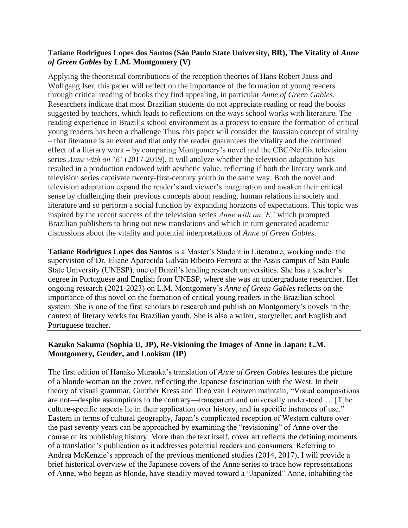### **Tatiane Rodrigues Lopes dos Santos (São Paulo State University, BR), The Vitality of** *Anne of Green Gables* **by L.M. Montgomery (V)**

Applying the theoretical contributions of the reception theories of Hans Robert Jauss and Wolfgang Iser, this paper will reflect on the importance of the formation of young readers through critical reading of books they find appealing, in particular *Anne of Green Gables*. Researchers indicate that most Brazilian students do not appreciate reading or read the books suggested by teachers, which leads to reflections on the ways school works with literature. The reading experience in Brazil's school environment as a process to ensure the formation of critical young readers has been a challenge Thus, this paper will consider the Jaussian concept of vitality – that literature is an event and that only the reader guarantees the vitality and the continued effect of a literary work – by comparing Montgomery's novel and the CBC/Netflix television series *Anne with an 'E*' (2017-2019). It will analyze whether the television adaptation has resulted in a production endowed with aesthetic value, reflecting if both the literary work and television series captivate twenty-first-century youth in the same way. Both the novel and television adaptation expand the reader's and viewer's imagination and awaken their critical sense by challenging their previous concepts about reading, human relations in society and literature and so perform a social function by expanding horizons of expectations. This topic was inspired by the recent success of the television series *Anne with an 'E,'* which prompted Brazilian publishers to bring out new translations and which in turn generated academic discussions about the vitality and potential interpretations of *Anne of Green Gables*.

**Tatiane Rodrigues Lopes dos Santos** is a Master's Student in Literature, working under the supervision of Dr. Eliane Aparecida Galvão Ribeiro Ferreira at the Assis campus of São Paulo State University (UNESP), one of Brazil's leading research universities. She has a teacher's degree in Portuguese and English from UNESP, where she was an undergraduate researcher. Her ongoing research (2021-2023) on L.M. Montgomery's *Anne of Green Gables* reflects on the importance of this novel on the formation of critical young readers in the Brazilian school system. She is one of the first scholars to research and publish on Montgomery's novels in the context of literary works for Brazilian youth. She is also a writer, storyteller, and English and Portuguese teacher.

## **Kazuko Sakuma (Sophia U, JP), Re-Visioning the Images of Anne in Japan: L.M. Montgomery, Gender, and Lookism (IP)**

The first edition of Hanako Muraoka's translation of *Anne of Green Gables* features the picture of a blonde woman on the cover, reflecting the Japanese fascination with the West. In their theory of visual grammar, Gunther Kress and Theo van Leeuwen maintain, "Visual compositions are not—despite assumptions to the contrary—transparent and universally understood…. [T]he culture-specific aspects lie in their application over history, and in specific instances of use." Eastern in terms of cultural geography, Japan's complicated reception of Western culture over the past seventy years can be approached by examining the "revisioning" of Anne over the course of its publishing history. More than the text itself, cover art reflects the defining moments of a translation's publication as it addresses potential readers and consumers. Referring to Andrea McKenzie's approach of the previous mentioned studies (2014, 2017), I will provide a brief historical overview of the Japanese covers of the Anne series to trace how representations of Anne, who began as blonde, have steadily moved toward a "Japanized" Anne, inhabiting the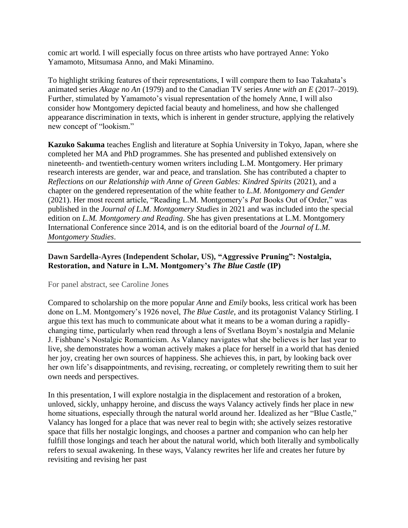comic art world. I will especially focus on three artists who have portrayed Anne: Yoko Yamamoto, Mitsumasa Anno, and Maki Minamino.

To highlight striking features of their representations, I will compare them to Isao Takahata's animated series *Akage no An* (1979) and to the Canadian TV series *Anne with an E* (2017–2019). Further, stimulated by Yamamoto's visual representation of the homely Anne, I will also consider how Montgomery depicted facial beauty and homeliness, and how she challenged appearance discrimination in texts, which is inherent in gender structure, applying the relatively new concept of "lookism."

**Kazuko Sakuma** teaches English and literature at Sophia University in Tokyo, Japan, where she completed her MA and PhD programmes. She has presented and published extensively on nineteenth- and twentieth-century women writers including L.M. Montgomery. Her primary research interests are gender, war and peace, and translation. She has contributed a chapter to *Reflections on our Relationship with Anne of Green Gables: Kindred Spirits* (2021), and a chapter on the gendered representation of the white feather to *L.M. Montgomery and Gender* (2021). Her most recent article, "Reading L.M. Montgomery's *Pat* Books Out of Order," was published in the *Journal of L.M. Montgomery Studies* in 2021 and was included into the special edition on *L.M. Montgomery and Reading*. She has given presentations at L.M. Montgomery International Conference since 2014, and is on the editorial board of the *Journal of L.M. Montgomery Studies*.

## **Dawn Sardella-Ayres (Independent Scholar, US), "Aggressive Pruning": Nostalgia, Restoration, and Nature in L.M. Montgomery's** *The Blue Castle* **(IP)**

#### For panel abstract, see Caroline Jones

Compared to scholarship on the more popular *Anne* and *Emily* books, less critical work has been done on L.M. Montgomery's 1926 novel, *The Blue Castle*, and its protagonist Valancy Stirling. I argue this text has much to communicate about what it means to be a woman during a rapidlychanging time, particularly when read through a lens of Svetlana Boym's nostalgia and Melanie J. Fishbane's Nostalgic Romanticism. As Valancy navigates what she believes is her last year to live, she demonstrates how a woman actively makes a place for herself in a world that has denied her joy, creating her own sources of happiness. She achieves this, in part, by looking back over her own life's disappointments, and revising, recreating, or completely rewriting them to suit her own needs and perspectives.

In this presentation, I will explore nostalgia in the displacement and restoration of a broken, unloved, sickly, unhappy heroine, and discuss the ways Valancy actively finds her place in new home situations, especially through the natural world around her. Idealized as her "Blue Castle," Valancy has longed for a place that was never real to begin with; she actively seizes restorative space that fills her nostalgic longings, and chooses a partner and companion who can help her fulfill those longings and teach her about the natural world, which both literally and symbolically refers to sexual awakening. In these ways, Valancy rewrites her life and creates her future by revisiting and revising her past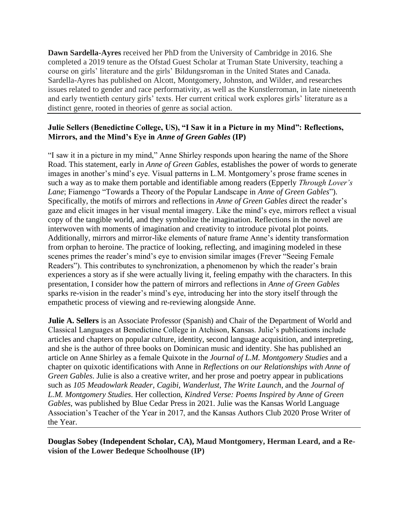**Dawn Sardella-Ayres** received her PhD from the University of Cambridge in 2016. She completed a 2019 tenure as the Ofstad Guest Scholar at Truman State University, teaching a course on girls' literature and the girls' Bildungsroman in the United States and Canada. Sardella-Ayres has published on Alcott, Montgomery, Johnston, and Wilder, and researches issues related to gender and race performativity, as well as the Kunstlerroman, in late nineteenth and early twentieth century girls' texts. Her current critical work explores girls' literature as a distinct genre, rooted in theories of genre as social action.

### **Julie Sellers (Benedictine College, US), "I Saw it in a Picture in my Mind": Reflections, Mirrors, and the Mind's Eye in** *Anne of Green Gables* **(IP)**

"I saw it in a picture in my mind," Anne Shirley responds upon hearing the name of the Shore Road. This statement, early in *Anne of Green Gables*, establishes the power of words to generate images in another's mind's eye. Visual patterns in L.M. Montgomery's prose frame scenes in such a way as to make them portable and identifiable among readers (Epperly *Through Lover's Lane*; Fiamengo "Towards a Theory of the Popular Landscape in *Anne of Green Gables*"). Specifically, the motifs of mirrors and reflections in *Anne of Green Gables* direct the reader's gaze and elicit images in her visual mental imagery. Like the mind's eye, mirrors reflect a visual copy of the tangible world, and they symbolize the imagination. Reflections in the novel are interwoven with moments of imagination and creativity to introduce pivotal plot points. Additionally, mirrors and mirror-like elements of nature frame Anne's identity transformation from orphan to heroine. The practice of looking, reflecting, and imagining modeled in these scenes primes the reader's mind's eye to envision similar images (Frever "Seeing Female Readers"). This contributes to synchronization, a phenomenon by which the reader's brain experiences a story as if she were actually living it, feeling empathy with the characters. In this presentation, I consider how the pattern of mirrors and reflections in *Anne of Green Gables* sparks re-vision in the reader's mind's eye, introducing her into the story itself through the empathetic process of viewing and re-reviewing alongside Anne.

**Julie A. Sellers** is an Associate Professor (Spanish) and Chair of the Department of World and Classical Languages at Benedictine College in Atchison, Kansas. Julie's publications include articles and chapters on popular culture, identity, second language acquisition, and interpreting, and she is the author of three books on Dominican music and identity. She has published an article on Anne Shirley as a female Quixote in the *Journal of L.M. Montgomery Studies* and a chapter on quixotic identifications with Anne in *Reflections on our Relationships with Anne of Green Gables*. Julie is also a creative writer, and her prose and poetry appear in publications such as *105 Meadowlark Reader*, *Cagibi*, *Wanderlust*, *The Write Launch*, and the *Journal of L.M. Montgomery Studies*. Her collection, *Kindred Verse: Poems Inspired by Anne of Green Gables*, was published by Blue Cedar Press in 2021. Julie was the Kansas World Language Association's Teacher of the Year in 2017, and the Kansas Authors Club 2020 Prose Writer of the Year.

**Douglas Sobey (Independent Scholar, CA), Maud Montgomery, Herman Leard, and a Revision of the Lower Bedeque Schoolhouse (IP)**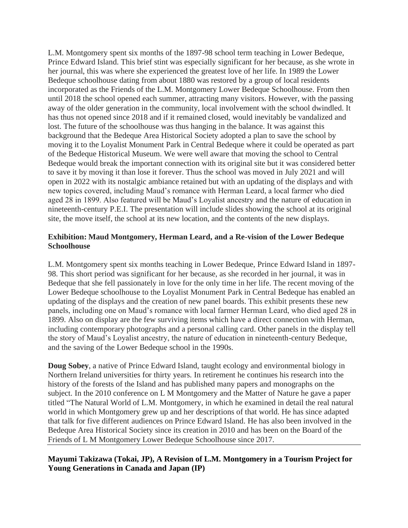L.M. Montgomery spent six months of the 1897-98 school term teaching in Lower Bedeque, Prince Edward Island. This brief stint was especially significant for her because, as she wrote in her journal, this was where she experienced the greatest love of her life. In 1989 the Lower Bedeque schoolhouse dating from about 1880 was restored by a group of local residents incorporated as the Friends of the L.M. Montgomery Lower Bedeque Schoolhouse. From then until 2018 the school opened each summer, attracting many visitors. However, with the passing away of the older generation in the community, local involvement with the school dwindled. It has thus not opened since 2018 and if it remained closed, would inevitably be vandalized and lost. The future of the schoolhouse was thus hanging in the balance. It was against this background that the Bedeque Area Historical Society adopted a plan to save the school by moving it to the Loyalist Monument Park in Central Bedeque where it could be operated as part of the Bedeque Historical Museum. We were well aware that moving the school to Central Bedeque would break the important connection with its original site but it was considered better to save it by moving it than lose it forever. Thus the school was moved in July 2021 and will open in 2022 with its nostalgic ambiance retained but with an updating of the displays and with new topics covered, including Maud's romance with Herman Leard, a local farmer who died aged 28 in 1899. Also featured will be Maud's Loyalist ancestry and the nature of education in nineteenth-century P.E.I. The presentation will include slides showing the school at its original site, the move itself, the school at its new location, and the contents of the new displays.

#### **Exhibition: Maud Montgomery, Herman Leard, and a Re-vision of the Lower Bedeque Schoolhouse**

L.M. Montgomery spent six months teaching in Lower Bedeque, Prince Edward Island in 1897- 98. This short period was significant for her because, as she recorded in her journal, it was in Bedeque that she fell passionately in love for the only time in her life. The recent moving of the Lower Bedeque schoolhouse to the Loyalist Monument Park in Central Bedeque has enabled an updating of the displays and the creation of new panel boards. This exhibit presents these new panels, including one on Maud's romance with local farmer Herman Leard, who died aged 28 in 1899. Also on display are the few surviving items which have a direct connection with Herman, including contemporary photographs and a personal calling card. Other panels in the display tell the story of Maud's Loyalist ancestry, the nature of education in nineteenth-century Bedeque, and the saving of the Lower Bedeque school in the 1990s.

**Doug Sobey**, a native of Prince Edward Island, taught ecology and environmental biology in Northern Ireland universities for thirty years. In retirement he continues his research into the history of the forests of the Island and has published many papers and monographs on the subject. In the 2010 conference on L M Montgomery and the Matter of Nature he gave a paper titled "The Natural World of L.M. Montgomery, in which he examined in detail the real natural world in which Montgomery grew up and her descriptions of that world. He has since adapted that talk for five different audiences on Prince Edward Island. He has also been involved in the Bedeque Area Historical Society since its creation in 2010 and has been on the Board of the Friends of L M Montgomery Lower Bedeque Schoolhouse since 2017.

# **Mayumi Takizawa (Tokai, JP), A Revision of L.M. Montgomery in a Tourism Project for Young Generations in Canada and Japan (IP)**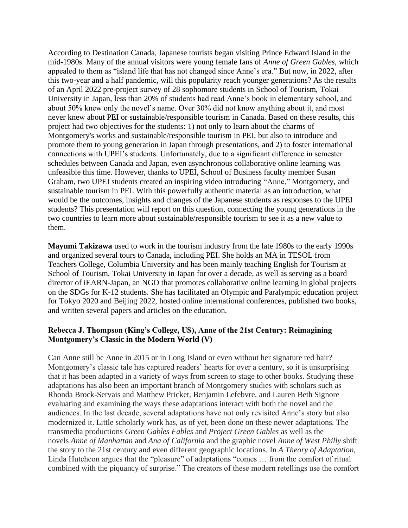According to Destination Canada, Japanese tourists began visiting Prince Edward Island in the mid-1980s. Many of the annual visitors were young female fans of *Anne of Green Gables*, which appealed to them as "island life that has not changed since Anne's era." But now, in 2022, after this two-year and a half pandemic, will this popularity reach younger generations? As the results of an April 2022 pre-project survey of 28 sophomore students in School of Tourism, Tokai University in Japan, less than 20% of students had read Anne's book in elementary school, and about 50% knew only the novel's name. Over 30% did not know anything about it, and most never knew about PEI or sustainable/responsible tourism in Canada. Based on these results, this project had two objectives for the students: 1) not only to learn about the charms of Montgomery's works and sustainable/responsible tourism in PEI, but also to introduce and promote them to young generation in Japan through presentations, and 2) to foster international connections with UPEI's students. Unfortunately, due to a significant difference in semester schedules between Canada and Japan, even asynchronous collaborative online learning was unfeasible this time. However, thanks to UPEI, School of Business faculty member Susan Graham, two UPEI students created an inspiring video introducing "Anne," Montgomery, and sustainable tourism in PEI. With this powerfully authentic material as an introduction, what would be the outcomes, insights and changes of the Japanese students as responses to the UPEI students? This presentation will report on this question, connecting the young generations in the two countries to learn more about sustainable/responsible tourism to see it as a new value to them.

**Mayumi Takizawa** used to work in the tourism industry from the late 1980s to the early 1990s and organized several tours to Canada, including PEI. She holds an MA in TESOL from Teachers College, Columbia University and has been mainly teaching English for Tourism at School of Tourism, Tokai University in Japan for over a decade, as well as serving as a board director of iEARN-Japan, an NGO that promotes collaborative online learning in global projects on the SDGs for K-12 students. She has facilitated an Olympic and Paralympic education project for Tokyo 2020 and Beijing 2022, hosted online international conferences, published two books, and written several papers and articles on the education.

## **Rebecca J. Thompson (King's College, US), Anne of the 21st Century: Reimagining Montgomery's Classic in the Modern World (V)**

Can Anne still be Anne in 2015 or in Long Island or even without her signature red hair? Montgomery's classic tale has captured readers' hearts for over a century, so it is unsurprising that it has been adapted in a variety of ways from screen to stage to other books. Studying these adaptations has also been an important branch of Montgomery studies with scholars such as Rhonda Brock-Servais and Matthew Pricket, Benjamin Lefebvre, and Lauren Beth Signore evaluating and examining the ways these adaptations interact with both the novel and the audiences. In the last decade, several adaptations have not only revisited Anne's story but also modernized it. Little scholarly work has, as of yet, been done on these newer adaptations. The transmedia productions *Green Gables Fables* and *Project Green Gables* as well as the novels *Anne of Manhattan* and *Ana of California* and the graphic novel *Anne of West Philly* shift the story to the 21st century and even different geographic locations. In *A Theory of Adaptation*, Linda Hutcheon argues that the "pleasure" of adaptations "comes … from the comfort of ritual combined with the piquancy of surprise." The creators of these modern retellings use the comfort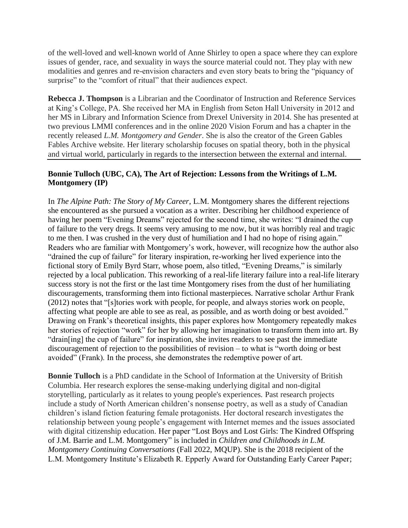of the well-loved and well-known world of Anne Shirley to open a space where they can explore issues of gender, race, and sexuality in ways the source material could not. They play with new modalities and genres and re-envision characters and even story beats to bring the "piquancy of surprise" to the "comfort of ritual" that their audiences expect.

**Rebecca J. Thompson** is a Librarian and the Coordinator of Instruction and Reference Services at King's College, PA. She received her MA in English from Seton Hall University in 2012 and her MS in Library and Information Science from Drexel University in 2014. She has presented at two previous LMMI conferences and in the online 2020 Vision Forum and has a chapter in the recently released *L.M. Montgomery and Gender*. She is also the creator of the Green Gables Fables Archive website. Her literary scholarship focuses on spatial theory, both in the physical and virtual world, particularly in regards to the intersection between the external and internal.

## **Bonnie Tulloch (UBC, CA), The Art of Rejection: Lessons from the Writings of L.M. Montgomery (IP)**

In *The Alpine Path: The Story of My Career*, L.M. Montgomery shares the different rejections she encountered as she pursued a vocation as a writer. Describing her childhood experience of having her poem "Evening Dreams" rejected for the second time, she writes: "I drained the cup of failure to the very dregs. It seems very amusing to me now, but it was horribly real and tragic to me then. I was crushed in the very dust of humiliation and I had no hope of rising again." Readers who are familiar with Montgomery's work, however, will recognize how the author also "drained the cup of failure" for literary inspiration, re-working her lived experience into the fictional story of Emily Byrd Starr, whose poem, also titled, "Evening Dreams," is similarly rejected by a local publication. This reworking of a real-life literary failure into a real-life literary success story is not the first or the last time Montgomery rises from the dust of her humiliating discouragements, transforming them into fictional masterpieces. Narrative scholar Arthur Frank (2012) notes that "[s]tories work with people, for people, and always stories work on people, affecting what people are able to see as real, as possible, and as worth doing or best avoided." Drawing on Frank's theoretical insights, this paper explores how Montgomery repeatedly makes her stories of rejection "work" for her by allowing her imagination to transform them into art. By "drain[ing] the cup of failure" for inspiration, she invites readers to see past the immediate discouragement of rejection to the possibilities of revision – to what is "worth doing or best avoided" (Frank). In the process, she demonstrates the redemptive power of art.

**Bonnie Tulloch** is a PhD candidate in the School of Information at the University of British Columbia. Her research explores the sense-making underlying digital and non-digital storytelling, particularly as it relates to young people's experiences. Past research projects include a study of North American children's nonsense poetry, as well as a study of Canadian children's island fiction featuring female protagonists. Her doctoral research investigates the relationship between young people's engagement with Internet memes and the issues associated with digital citizenship education. Her paper "Lost Boys and Lost Girls: The Kindred Offspring of J.M. Barrie and L.M. Montgomery" is included in *Children and Childhoods in L.M. Montgomery Continuing Conversations* (Fall 2022, MQUP). She is the 2018 recipient of the L.M. Montgomery Institute's Elizabeth R. Epperly Award for Outstanding Early Career Paper;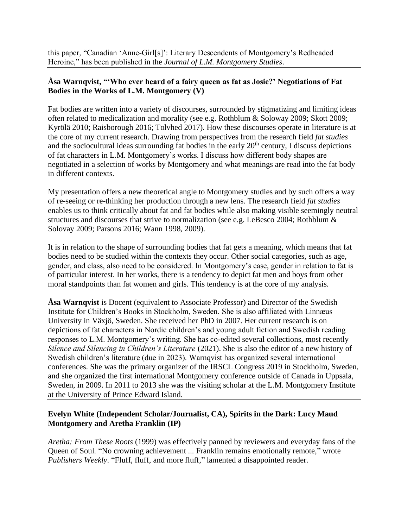this paper, "Canadian 'Anne-Girl[s]': Literary Descendents of Montgomery's Redheaded Heroine," has been published in the *Journal of L.M. Montgomery Studies*.

# **Åsa Warnqvist, "'Who ever heard of a fairy queen as fat as Josie?' Negotiations of Fat Bodies in the Works of L.M. Montgomery (V)**

Fat bodies are written into a variety of discourses, surrounded by stigmatizing and limiting ideas often related to medicalization and morality (see e.g. Rothblum & Soloway 2009; Skott 2009; Kyrölä 2010; Raisborough 2016; Tolvhed 2017). How these discourses operate in literature is at the core of my current research. Drawing from perspectives from the research field *fat studies* and the sociocultural ideas surrounding fat bodies in the early  $20<sup>th</sup>$  century, I discuss depictions of fat characters in L.M. Montgomery's works. I discuss how different body shapes are negotiated in a selection of works by Montgomery and what meanings are read into the fat body in different contexts.

My presentation offers a new theoretical angle to Montgomery studies and by such offers a way of re-seeing or re-thinking her production through a new lens. The research field *fat studies* enables us to think critically about fat and fat bodies while also making visible seemingly neutral structures and discourses that strive to normalization (see e.g. LeBesco 2004; Rothblum & Solovay 2009; Parsons 2016; Wann 1998, 2009).

It is in relation to the shape of surrounding bodies that fat gets a meaning, which means that fat bodies need to be studied within the contexts they occur. Other social categories, such as age, gender, and class, also need to be considered. In Montgomery's case, gender in relation to fat is of particular interest. In her works, there is a tendency to depict fat men and boys from other moral standpoints than fat women and girls. This tendency is at the core of my analysis.

**Åsa Warnqvist** is Docent (equivalent to Associate Professor) and Director of the Swedish Institute for Children's Books in Stockholm, Sweden. She is also affiliated with Linnæus University in Växjö, Sweden. She received her PhD in 2007. Her current research is on depictions of fat characters in Nordic children's and young adult fiction and Swedish reading responses to L.M. Montgomery's writing. She has co-edited several collections, most recently *Silence and Silencing in Children's Literature* (2021). She is also the editor of a new history of Swedish children's literature (due in 2023). Warnqvist has organized several international conferences. She was the primary organizer of the IRSCL Congress 2019 in Stockholm, Sweden, and she organized the first international Montgomery conference outside of Canada in Uppsala, Sweden, in 2009. In 2011 to 2013 she was the visiting scholar at the L.M. Montgomery Institute at the University of Prince Edward Island.

# **Evelyn White (Independent Scholar/Journalist, CA), Spirits in the Dark: Lucy Maud Montgomery and Aretha Franklin (IP)**

*Aretha: From These Roots* (1999) was effectively panned by reviewers and everyday fans of the Queen of Soul. "No crowning achievement ... Franklin remains emotionally remote," wrote *Publishers Weekly*. "Fluff, fluff, and more fluff," lamented a disappointed reader.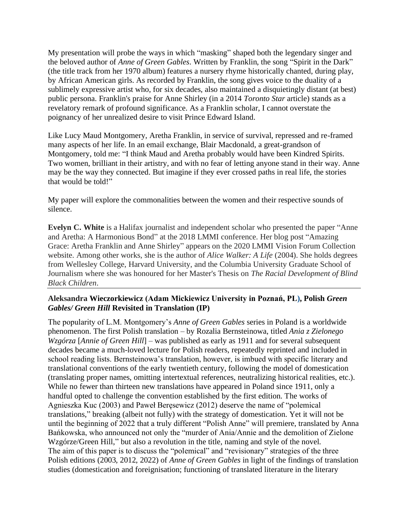My presentation will probe the ways in which "masking" shaped both the legendary singer and the beloved author of *Anne of Green Gables*. Written by Franklin, the song "Spirit in the Dark" (the title track from her 1970 album) features a nursery rhyme historically chanted, during play, by African American girls. As recorded by Franklin, the song gives voice to the duality of a sublimely expressive artist who, for six decades, also maintained a disquietingly distant (at best) public persona. Franklin's praise for Anne Shirley (in a 2014 *Toronto Star* article) stands as a revelatory remark of profound significance. As a Franklin scholar, I cannot overstate the poignancy of her unrealized desire to visit Prince Edward Island.

Like Lucy Maud Montgomery, Aretha Franklin, in service of survival, repressed and re-framed many aspects of her life. In an email exchange, Blair Macdonald, a great-grandson of Montgomery, told me: "I think Maud and Aretha probably would have been Kindred Spirits. Two women, brilliant in their artistry, and with no fear of letting anyone stand in their way. Anne may be the way they connected. But imagine if they ever crossed paths in real life, the stories that would be told!"

My paper will explore the commonalities between the women and their respective sounds of silence.

**Evelyn C. White** is a Halifax journalist and independent scholar who presented the paper "Anne and Aretha: A Harmonious Bond" at the 2018 LMMI conference. Her blog post "Amazing Grace: Aretha Franklin and Anne Shirley" appears on the 2020 LMMI Vision Forum Collection website. Among other works, she is the author of *Alice Walker: A Life* (2004). She holds degrees from Wellesley College, Harvard University, and the Columbia University Graduate School of Journalism where she was honoured for her Master's Thesis on *The Racial Development of Blind Black Children*.

## **Aleksandra Wieczorkiewicz (Adam Mickiewicz University in Poznań, PL), Polish** *Green Gables/ Green Hill* **Revisited in Translation (IP)**

The popularity of L.M. Montgomery's *Anne of Green Gables* series in Poland is a worldwide phenomenon. The first Polish translation – by Rozalia Bernsteinowa, titled *Ania z Zielonego Wzgórza* [*Annie of Green Hill*] – was published as early as 1911 and for several subsequent decades became a much-loved lecture for Polish readers, repeatedly reprinted and included in school reading lists. Bernsteinowa's translation, however, is imbued with specific literary and translational conventions of the early twentieth century, following the model of domestication (translating proper names, omitting intertextual references, neutralizing historical realities, etc.). While no fewer than thirteen new translations have appeared in Poland since 1911, only a handful opted to challenge the convention established by the first edition. The works of Agnieszka Kuc (2003) and Paweł Beręsewicz (2012) deserve the name of "polemical translations," breaking (albeit not fully) with the strategy of domestication. Yet it will not be until the beginning of 2022 that a truly different "Polish Anne" will premiere, translated by Anna Bańkowska, who announced not only the "murder of Ania/Annie and the demolition of Zielone Wzgórze/Green Hill," but also a revolution in the title, naming and style of the novel. The aim of this paper is to discuss the "polemical" and "revisionary" strategies of the three Polish editions (2003, 2012, 2022) of *Anne of Green Gables* in light of the findings of translation studies (domestication and foreignisation; functioning of translated literature in the literary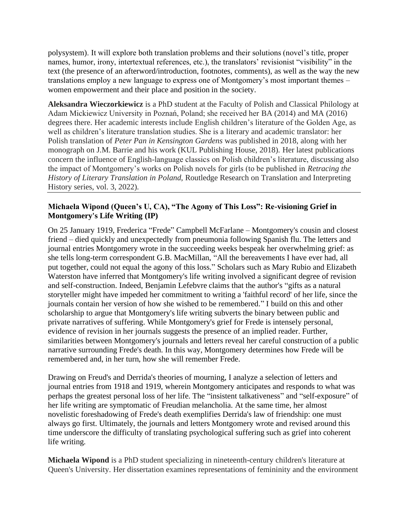polysystem). It will explore both translation problems and their solutions (novel's title, proper names, humor, irony, intertextual references, etc.), the translators' revisionist "visibility" in the text (the presence of an afterword/introduction, footnotes, comments), as well as the way the new translations employ a new language to express one of Montgomery's most important themes – women empowerment and their place and position in the society.

**Aleksandra Wieczorkiewicz** is a PhD student at the Faculty of Polish and Classical Philology at Adam Mickiewicz University in Poznań, Poland; she received her BA (2014) and MA (2016) degrees there. Her academic interests include English children's literature of the Golden Age, as well as children's literature translation studies. She is a literary and academic translator: her Polish translation of *Peter Pan in Kensington Gardens* was published in 2018, along with her monograph on J.M. Barrie and his work (KUL Publishing House, 2018). Her latest publications concern the influence of English-language classics on Polish children's literature, discussing also the impact of Montgomery's works on Polish novels for girls (to be published in *Retracing the History of Literary Translation in Poland*, Routledge Research on Translation and Interpreting History series, vol. 3, 2022).

## **Michaela Wipond (Queen's U, CA), "The Agony of This Loss": Re-visioning Grief in Montgomery's Life Writing (IP)**

On 25 January 1919, Frederica "Frede" Campbell McFarlane – Montgomery's cousin and closest friend – died quickly and unexpectedly from pneumonia following Spanish flu. The letters and journal entries Montgomery wrote in the succeeding weeks bespeak her overwhelming grief: as she tells long-term correspondent G.B. MacMillan, "All the bereavements I have ever had, all put together, could not equal the agony of this loss." Scholars such as Mary Rubio and Elizabeth Waterston have inferred that Montgomery's life writing involved a significant degree of revision and self-construction. Indeed, Benjamin Lefebvre claims that the author's "gifts as a natural storyteller might have impeded her commitment to writing a 'faithful record' of her life, since the journals contain her version of how she wished to be remembered." I build on this and other scholarship to argue that Montgomery's life writing subverts the binary between public and private narratives of suffering. While Montgomery's grief for Frede is intensely personal, evidence of revision in her journals suggests the presence of an implied reader. Further, similarities between Montgomery's journals and letters reveal her careful construction of a public narrative surrounding Frede's death. In this way, Montgomery determines how Frede will be remembered and, in her turn, how she will remember Frede.

Drawing on Freud's and Derrida's theories of mourning, I analyze a selection of letters and journal entries from 1918 and 1919, wherein Montgomery anticipates and responds to what was perhaps the greatest personal loss of her life. The "insistent talkativeness" and "self-exposure" of her life writing are symptomatic of Freudian melancholia. At the same time, her almost novelistic foreshadowing of Frede's death exemplifies Derrida's law of friendship: one must always go first. Ultimately, the journals and letters Montgomery wrote and revised around this time underscore the difficulty of translating psychological suffering such as grief into coherent life writing.

**Michaela Wipond** is a PhD student specializing in nineteenth-century children's literature at Queen's University. Her dissertation examines representations of femininity and the environment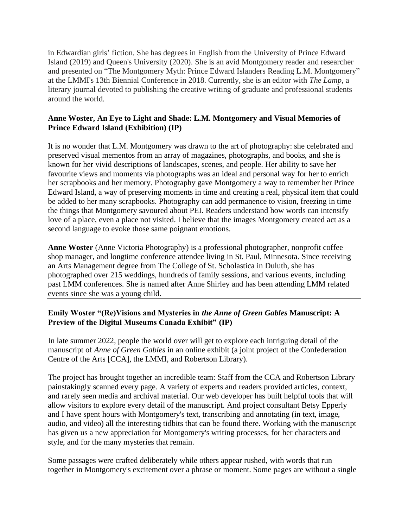in Edwardian girls' fiction. She has degrees in English from the University of Prince Edward Island (2019) and Queen's University (2020). She is an avid Montgomery reader and researcher and presented on "The Montgomery Myth: Prince Edward Islanders Reading L.M. Montgomery" at the LMMI's 13th Biennial Conference in 2018. Currently, she is an editor with *The Lamp*, a literary journal devoted to publishing the creative writing of graduate and professional students around the world.

## **Anne Woster, An Eye to Light and Shade: L.M. Montgomery and Visual Memories of Prince Edward Island (Exhibition) (IP)**

It is no wonder that L.M. Montgomery was drawn to the art of photography: she celebrated and preserved visual mementos from an array of magazines, photographs, and books, and she is known for her vivid descriptions of landscapes, scenes, and people. Her ability to save her favourite views and moments via photographs was an ideal and personal way for her to enrich her scrapbooks and her memory*.* Photography gave Montgomery a way to remember her Prince Edward Island, a way of preserving moments in time and creating a real, physical item that could be added to her many scrapbooks. Photography can add permanence to vision, freezing in time the things that Montgomery savoured about PEI. Readers understand how words can intensify love of a place, even a place not visited. I believe that the images Montgomery created act as a second language to evoke those same poignant emotions.

**Anne Woster** (Anne Victoria Photography) is a professional photographer, nonprofit coffee shop manager, and longtime conference attendee living in St. Paul, Minnesota. Since receiving an Arts Management degree from The College of St. Scholastica in Duluth, she has photographed over 215 weddings, hundreds of family sessions, and various events, including past LMM conferences. She is named after Anne Shirley and has been attending LMM related events since she was a young child.

# **Emily Woster "(Re)Visions and Mysteries in** *the Anne of Green Gables* **Manuscript: A Preview of the Digital Museums Canada Exhibit" (IP)**

In late summer 2022, people the world over will get to explore each intriguing detail of the manuscript of *Anne of Green Gables* in an online exhibit (a joint project of the Confederation Centre of the Arts [CCA], the LMMI, and Robertson Library).

The project has brought together an incredible team: Staff from the CCA and Robertson Library painstakingly scanned every page. A variety of experts and readers provided articles, context, and rarely seen media and archival material. Our web developer has built helpful tools that will allow visitors to explore every detail of the manuscript. And project consultant Betsy Epperly and I have spent hours with Montgomery's text, transcribing and annotating (in text, image, audio, and video) all the interesting tidbits that can be found there. Working with the manuscript has given us a new appreciation for Montgomery's writing processes, for her characters and style, and for the many mysteries that remain.

Some passages were crafted deliberately while others appear rushed, with words that run together in Montgomery's excitement over a phrase or moment. Some pages are without a single